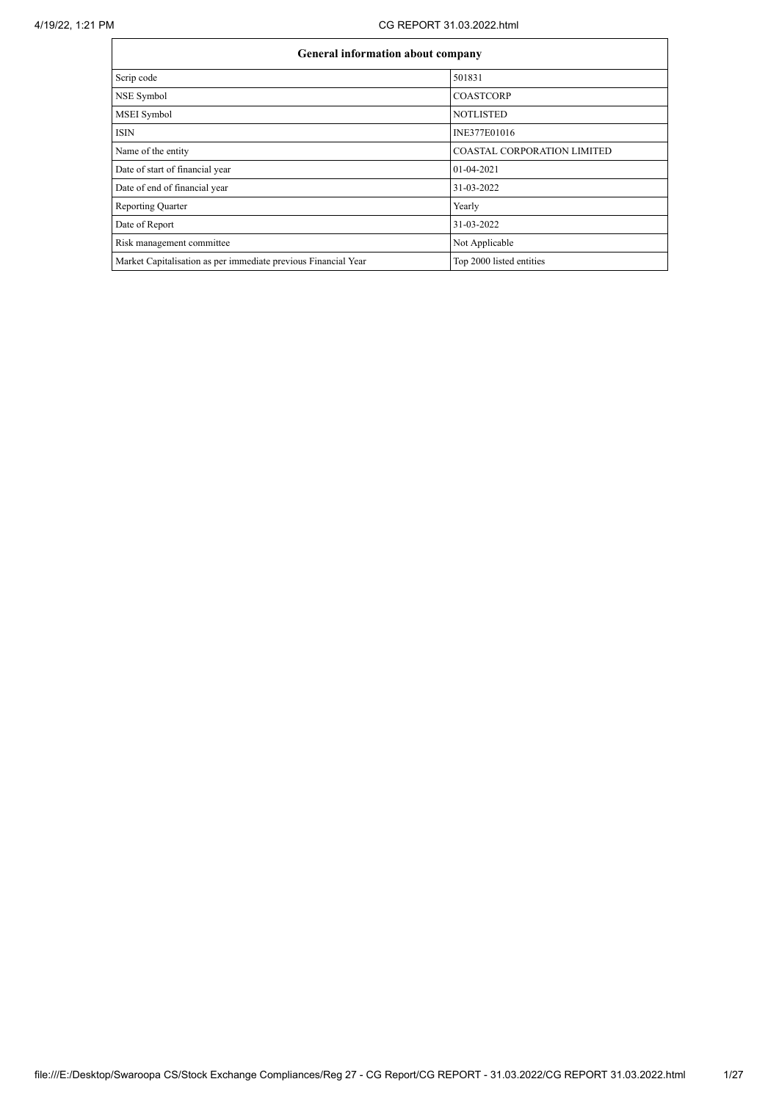| <b>General information about company</b>                       |                                    |  |  |  |  |  |  |  |
|----------------------------------------------------------------|------------------------------------|--|--|--|--|--|--|--|
| Scrip code                                                     | 501831                             |  |  |  |  |  |  |  |
| NSE Symbol                                                     | <b>COASTCORP</b>                   |  |  |  |  |  |  |  |
| MSEI Symbol                                                    | <b>NOTLISTED</b>                   |  |  |  |  |  |  |  |
| <b>ISIN</b>                                                    | INE377E01016                       |  |  |  |  |  |  |  |
| Name of the entity                                             | <b>COASTAL CORPORATION LIMITED</b> |  |  |  |  |  |  |  |
| Date of start of financial year                                | $01-04-2021$                       |  |  |  |  |  |  |  |
| Date of end of financial year                                  | 31-03-2022                         |  |  |  |  |  |  |  |
| <b>Reporting Quarter</b>                                       | Yearly                             |  |  |  |  |  |  |  |
| Date of Report                                                 | 31-03-2022                         |  |  |  |  |  |  |  |
| Risk management committee                                      | Not Applicable                     |  |  |  |  |  |  |  |
| Market Capitalisation as per immediate previous Financial Year | Top 2000 listed entities           |  |  |  |  |  |  |  |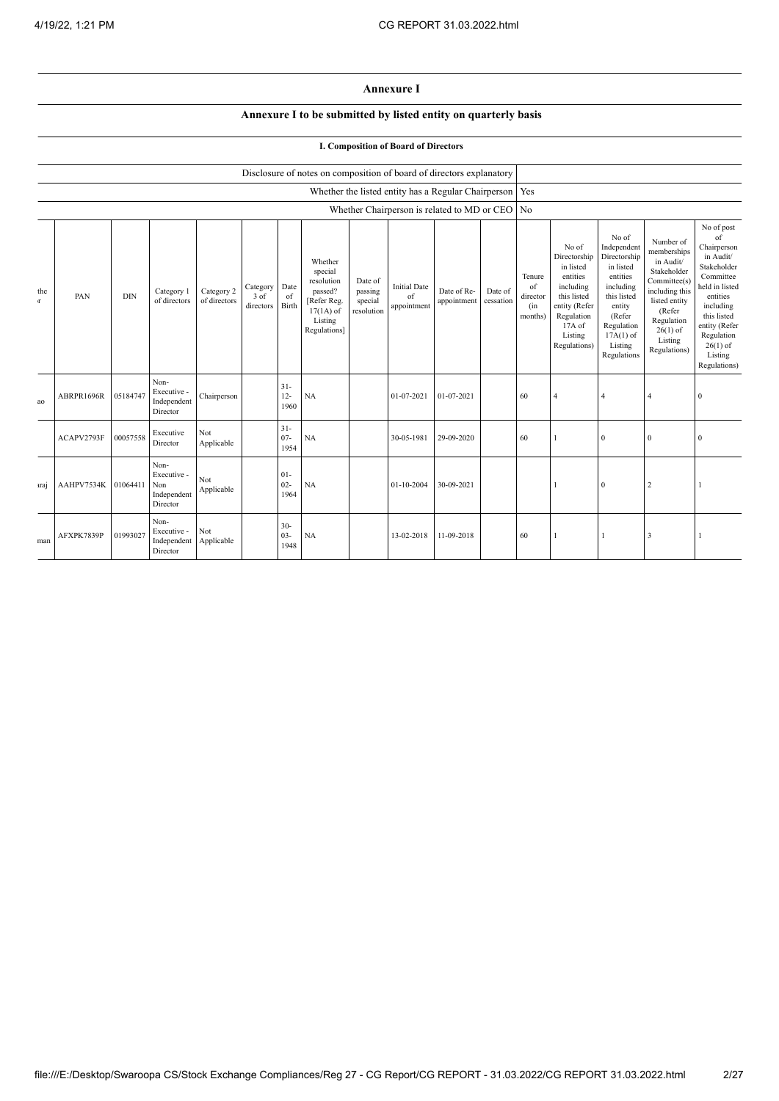## **Annexure I**

# **Annexure I to be submitted by listed entity on quarterly basis**

## **I. Composition of Board of Directors**

|                    |            |            |                                                       |                            |                                 |                          | Disclosure of notes on composition of board of directors explanatory                                 |                                             |                                                           |                            |                      |                                            |                                                                                                                                                |                                                                                                                                                                      |                                                                                                                                                                          |                                                                                                                                                                                                            |
|--------------------|------------|------------|-------------------------------------------------------|----------------------------|---------------------------------|--------------------------|------------------------------------------------------------------------------------------------------|---------------------------------------------|-----------------------------------------------------------|----------------------------|----------------------|--------------------------------------------|------------------------------------------------------------------------------------------------------------------------------------------------|----------------------------------------------------------------------------------------------------------------------------------------------------------------------|--------------------------------------------------------------------------------------------------------------------------------------------------------------------------|------------------------------------------------------------------------------------------------------------------------------------------------------------------------------------------------------------|
|                    |            |            |                                                       |                            |                                 |                          |                                                                                                      |                                             | Whether the listed entity has a Regular Chairperson   Yes |                            |                      |                                            |                                                                                                                                                |                                                                                                                                                                      |                                                                                                                                                                          |                                                                                                                                                                                                            |
|                    |            |            |                                                       |                            |                                 |                          |                                                                                                      |                                             | Whether Chairperson is related to MD or CEO No            |                            |                      |                                            |                                                                                                                                                |                                                                                                                                                                      |                                                                                                                                                                          |                                                                                                                                                                                                            |
| the<br>$\mathbf T$ | PAN        | <b>DIN</b> | Category 1<br>of directors                            | Category 2<br>of directors | Category<br>$3$ of<br>directors | Date<br>of<br>Birth      | Whether<br>special<br>resolution<br>passed?<br>[Refer Reg.<br>$17(1A)$ of<br>Listing<br>Regulations] | Date of<br>passing<br>special<br>resolution | <b>Initial Date</b><br>of<br>appointment                  | Date of Re-<br>appointment | Date of<br>cessation | Tenure<br>of<br>director<br>(in<br>months) | No of<br>Directorship<br>in listed<br>entities<br>including<br>this listed<br>entity (Refer<br>Regulation<br>17A of<br>Listing<br>Regulations) | No of<br>Independent<br>Directorship<br>in listed<br>entities<br>including<br>this listed<br>entity<br>(Refer<br>Regulation<br>$17A(1)$ of<br>Listing<br>Regulations | Number of<br>memberships<br>in Audit/<br>Stakeholder<br>Committee(s)<br>including this<br>listed entity<br>(Refer<br>Regulation<br>$26(1)$ of<br>Listing<br>Regulations) | No of post<br>of<br>Chairperson<br>in Audit/<br>Stakeholder<br>Committee<br>held in listed<br>entities<br>including<br>this listed<br>entity (Refer<br>Regulation<br>$26(1)$ of<br>Listing<br>Regulations) |
| ao                 | ABRPR1696R | 05184747   | Non-<br>Executive -<br>Independent<br>Director        | Chairperson                |                                 | $31 -$<br>$12 -$<br>1960 | NA                                                                                                   |                                             | 01-07-2021                                                | 01-07-2021                 |                      | 60                                         | $\overline{4}$                                                                                                                                 | $\overline{4}$                                                                                                                                                       | 4                                                                                                                                                                        | $\Omega$                                                                                                                                                                                                   |
|                    | ACAPV2793F | 00057558   | Executive<br>Director                                 | Not<br>Applicable          |                                 | $31 -$<br>$07 -$<br>1954 | NA                                                                                                   |                                             | 30-05-1981                                                | 29-09-2020                 |                      | 60                                         |                                                                                                                                                | $\mathbf{0}$                                                                                                                                                         | $\mathbf{0}$                                                                                                                                                             | $\theta$                                                                                                                                                                                                   |
| uraj               | AAHPV7534K | 01064411   | Non-<br>Executive -<br>Non<br>Independent<br>Director | Not<br>Applicable          |                                 | $01-$<br>$02 -$<br>1964  | NA                                                                                                   |                                             | $01 - 10 - 2004$                                          | 30-09-2021                 |                      |                                            |                                                                                                                                                | $\mathbf{0}$                                                                                                                                                         | 2                                                                                                                                                                        |                                                                                                                                                                                                            |
| man                | AFXPK7839P | 01993027   | Non-<br>Executive -<br>Independent<br>Director        | Not<br>Applicable          |                                 | $30 -$<br>$03 -$<br>1948 | NA                                                                                                   |                                             | 13-02-2018                                                | 11-09-2018                 |                      | 60                                         |                                                                                                                                                |                                                                                                                                                                      | 3                                                                                                                                                                        |                                                                                                                                                                                                            |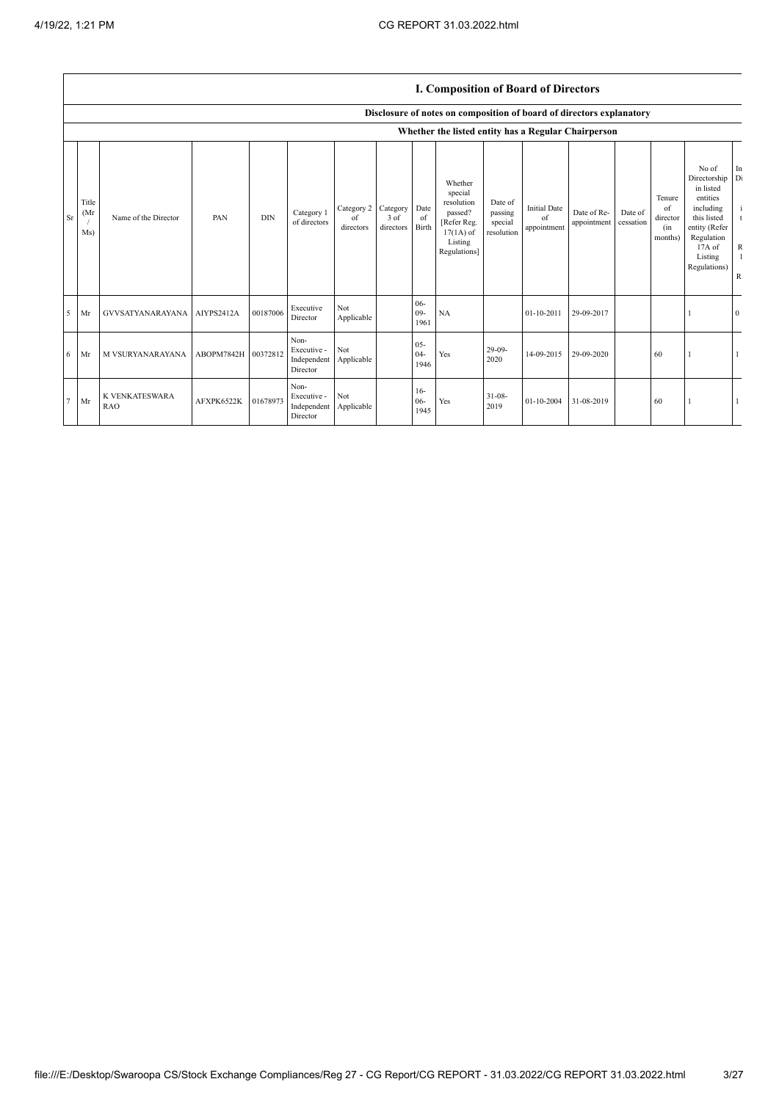|        |                      |                                      |            |            |                                                           |                               |                               |                          | 1. Composition of Bourn of Birectors                                                                 |                                             |                                          |                            |                      |                                            |                                                                                                                                                   |                                                                         |
|--------|----------------------|--------------------------------------|------------|------------|-----------------------------------------------------------|-------------------------------|-------------------------------|--------------------------|------------------------------------------------------------------------------------------------------|---------------------------------------------|------------------------------------------|----------------------------|----------------------|--------------------------------------------|---------------------------------------------------------------------------------------------------------------------------------------------------|-------------------------------------------------------------------------|
|        |                      |                                      |            |            |                                                           |                               |                               |                          | Disclosure of notes on composition of board of directors explanatory                                 |                                             |                                          |                            |                      |                                            |                                                                                                                                                   |                                                                         |
|        |                      |                                      |            |            |                                                           |                               |                               |                          | Whether the listed entity has a Regular Chairperson                                                  |                                             |                                          |                            |                      |                                            |                                                                                                                                                   |                                                                         |
| Sr     | Title<br>(Mr)<br>Ms) | Name of the Director                 | PAN        | <b>DIN</b> | Category 1<br>of directors                                | Category 2<br>of<br>directors | Category<br>3 of<br>directors | Date<br>of<br>Birth      | Whether<br>special<br>resolution<br>passed?<br>[Refer Reg.<br>$17(1A)$ of<br>Listing<br>Regulations] | Date of<br>passing<br>special<br>resolution | <b>Initial Date</b><br>of<br>appointment | Date of Re-<br>appointment | Date of<br>cessation | Tenure<br>of<br>director<br>(in<br>months) | No of<br>Directorship Di<br>in listed<br>entities<br>including<br>this listed<br>entity (Refer<br>Regulation<br>17A of<br>Listing<br>Regulations) | In<br>$\mathbf{i}$<br>t<br>$\mathbb{R}$<br>$\mathbf{1}$<br>$\mathbb{R}$ |
| 5      | Mr                   | GVVSATYANARAYANA AIYPS2412A          |            | 00187006   | Executive<br>Director                                     | Not<br>Applicable             |                               | $06 -$<br>$09 -$<br>1961 | NA                                                                                                   |                                             | 01-10-2011                               | 29-09-2017                 |                      |                                            |                                                                                                                                                   | $\mathbf{0}$                                                            |
| 6      | Mr                   | M VSURYANARAYANA ABOPM7842H 00372812 |            |            | Non-<br>Executive -<br>Independent Applicable<br>Director | Not                           |                               | $05 -$<br>$04 -$<br>1946 | Yes                                                                                                  | $29-09-$<br>2020                            | 14-09-2015                               | 29-09-2020                 |                      | 60                                         |                                                                                                                                                   |                                                                         |
| $\tau$ | Mr                   | K VENKATESWARA<br><b>RAO</b>         | AFXPK6522K | 01678973   | Non-<br>Executive -<br>Independent Applicable<br>Director | Not                           |                               | $16-$<br>$06 -$<br>1945  | Yes                                                                                                  | $31 - 08 -$<br>2019                         | 01-10-2004                               | 31-08-2019                 |                      | 60                                         |                                                                                                                                                   |                                                                         |

#### **I. Composition of Board of Directors**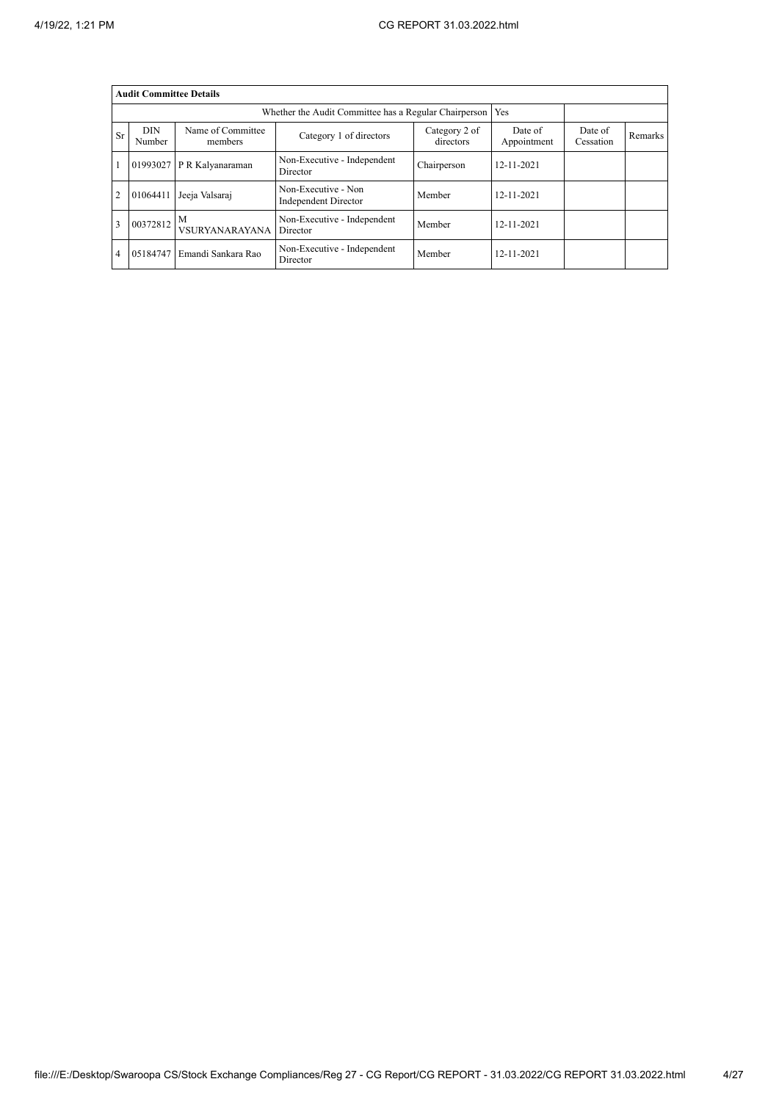|                | <b>Audit Committee Details</b> |                              |                                                       |                            |                        |                      |         |
|----------------|--------------------------------|------------------------------|-------------------------------------------------------|----------------------------|------------------------|----------------------|---------|
|                |                                |                              | Whether the Audit Committee has a Regular Chairperson |                            | Yes                    |                      |         |
| <b>Sr</b>      | <b>DIN</b><br>Number           | Name of Committee<br>members | Category 1 of directors                               | Category 2 of<br>directors | Date of<br>Appointment | Date of<br>Cessation | Remarks |
|                | 01993027                       | P R Kalyanaraman             | Non-Executive - Independent<br>Director               | Chairperson                | 12-11-2021             |                      |         |
| $\overline{2}$ | 01064411                       | Jeeja Valsaraj               | Non-Executive - Non<br>Independent Director           | Member                     | 12-11-2021             |                      |         |
| 3              | 00372812                       | M<br>VSURYANARAYANA          | Non-Executive - Independent<br>Director               | Member                     | 12-11-2021             |                      |         |
| 4              | 05184747                       | Emandi Sankara Rao           | Non-Executive - Independent<br>Director               | Member                     | 12-11-2021             |                      |         |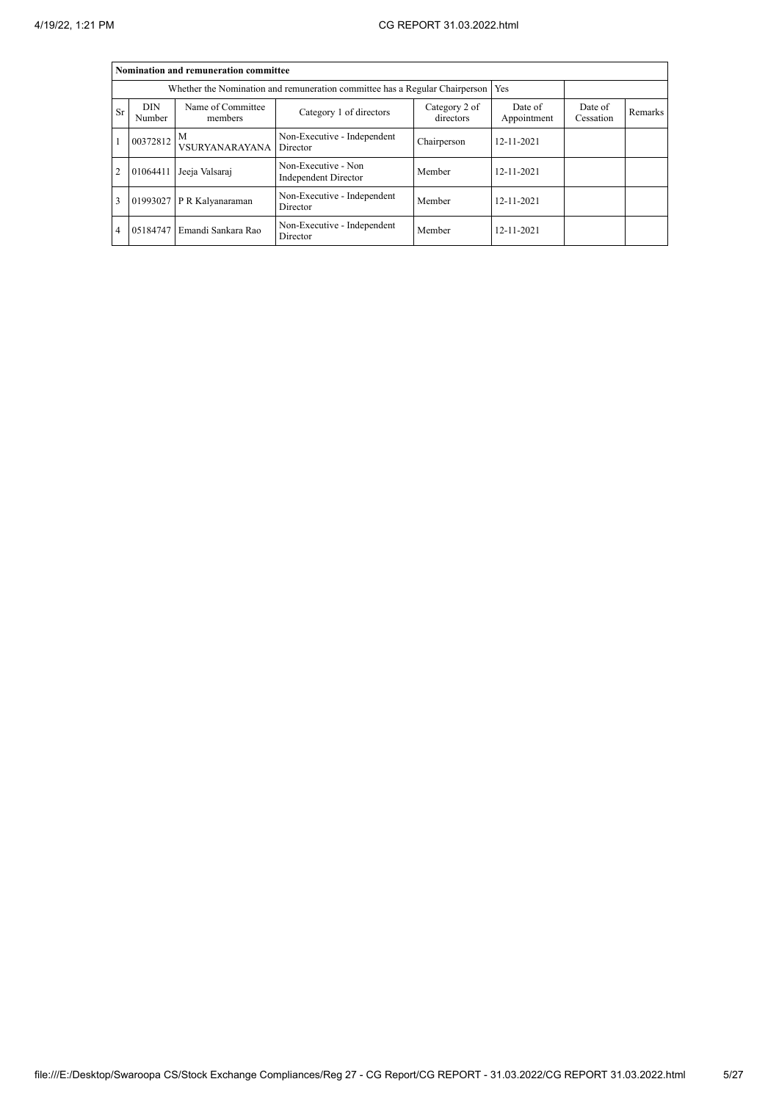|                | Nomination and remuneration committee |                              |                                                                                   |                            |                        |                      |         |  |  |  |  |
|----------------|---------------------------------------|------------------------------|-----------------------------------------------------------------------------------|----------------------------|------------------------|----------------------|---------|--|--|--|--|
|                |                                       |                              | Whether the Nomination and remuneration committee has a Regular Chairperson   Yes |                            |                        |                      |         |  |  |  |  |
| Sr             | <b>DIN</b><br>Number                  | Name of Committee<br>members | Category 1 of directors                                                           | Category 2 of<br>directors | Date of<br>Appointment | Date of<br>Cessation | Remarks |  |  |  |  |
|                | $100372812$ M                         | VSURYANARAYANA Director      | Non-Executive - Independent                                                       | Chairperson                | $12 - 11 - 2021$       |                      |         |  |  |  |  |
| $\overline{2}$ | 01064411                              | Jeeja Valsaraj               | Non-Executive - Non<br><b>Independent Director</b>                                | Member                     | 12-11-2021             |                      |         |  |  |  |  |
| 3              |                                       | 01993027 P R Kalyanaraman    | Non-Executive - Independent<br>Director                                           | Member                     | $12 - 11 - 2021$       |                      |         |  |  |  |  |
| 4              | 05184747                              | Emandi Sankara Rao           | Non-Executive - Independent<br>Director                                           | Member                     | 12-11-2021             |                      |         |  |  |  |  |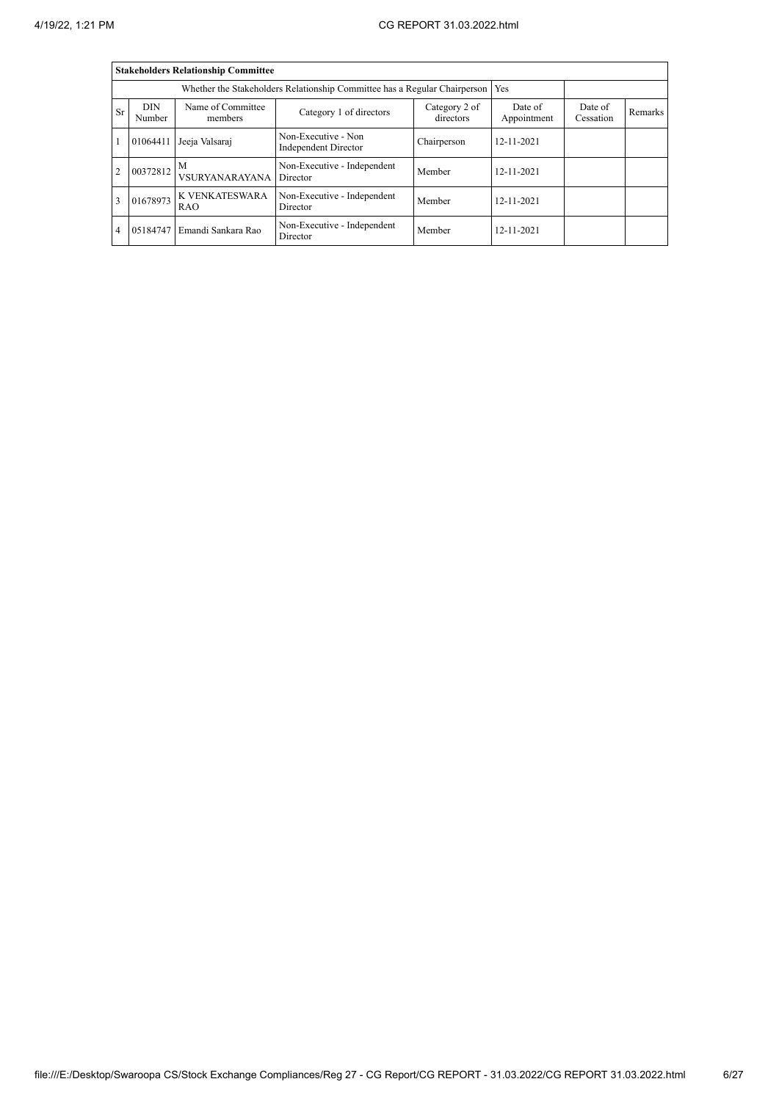|                | <b>Stakeholders Relationship Committee</b> |                              |                                                                                 |                            |                        |                      |         |  |  |  |  |
|----------------|--------------------------------------------|------------------------------|---------------------------------------------------------------------------------|----------------------------|------------------------|----------------------|---------|--|--|--|--|
|                |                                            |                              | Whether the Stakeholders Relationship Committee has a Regular Chairperson   Yes |                            |                        |                      |         |  |  |  |  |
| Sr             | <b>DIN</b><br>Number                       | Name of Committee<br>members | Category 1 of directors                                                         | Category 2 of<br>directors | Date of<br>Appointment | Date of<br>Cessation | Remarks |  |  |  |  |
|                | 01064411                                   | Jeeja Valsaraj               | Non-Executive - Non<br>Independent Director                                     | Chairperson                | 12-11-2021             |                      |         |  |  |  |  |
| $\overline{2}$ | $100372812$ M                              | <b>VSURYANARAYANA</b>        | Non-Executive - Independent<br>Director                                         | Member                     | 12-11-2021             |                      |         |  |  |  |  |
| 3              | 01678973                                   | K VENKATESWARA<br><b>RAO</b> | Non-Executive - Independent<br>Director                                         | Member                     | 12-11-2021             |                      |         |  |  |  |  |
| 4              | 05184747                                   | Emandi Sankara Rao           | Non-Executive - Independent<br>Director                                         | Member                     | $12 - 11 - 2021$       |                      |         |  |  |  |  |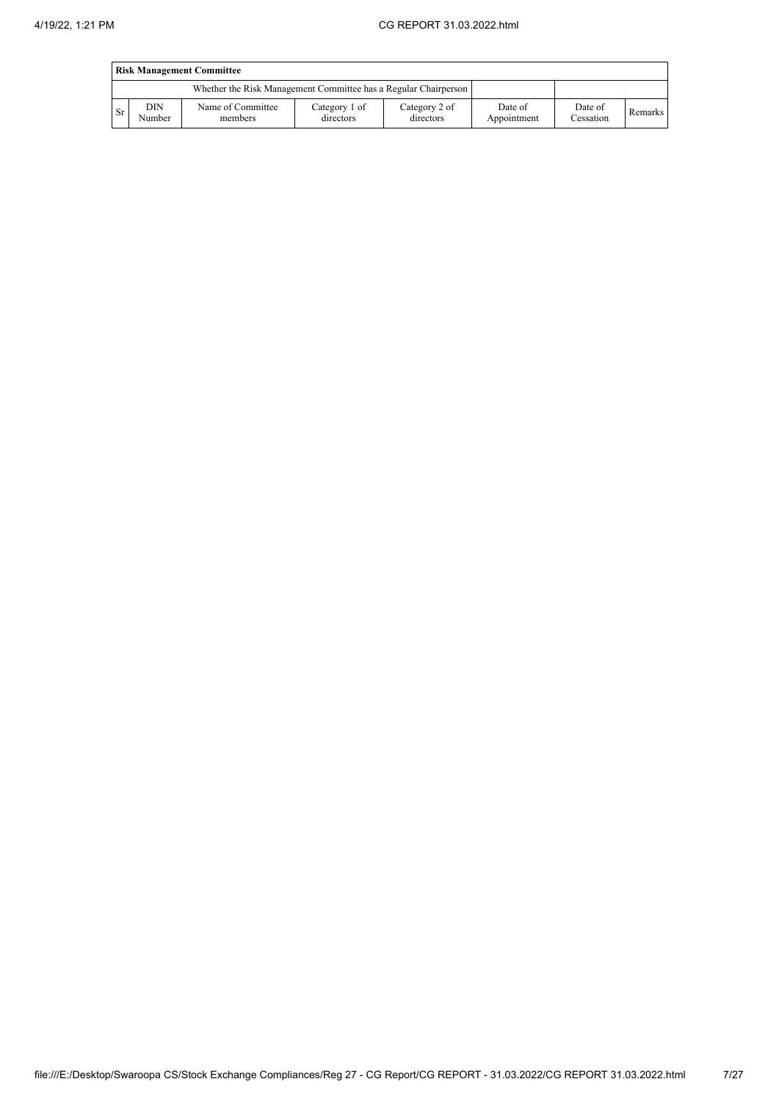|                                                                 | <b>Risk Management Committee</b> |                              |                            |                            |                        |                      |         |  |  |  |  |  |
|-----------------------------------------------------------------|----------------------------------|------------------------------|----------------------------|----------------------------|------------------------|----------------------|---------|--|--|--|--|--|
| Whether the Risk Management Committee has a Regular Chairperson |                                  |                              |                            |                            |                        |                      |         |  |  |  |  |  |
| <b>Sr</b>                                                       | DIN<br>Number                    | Name of Committee<br>members | Category 1 of<br>directors | Category 2 of<br>directors | Date of<br>Appointment | Date of<br>Cessation | Remarks |  |  |  |  |  |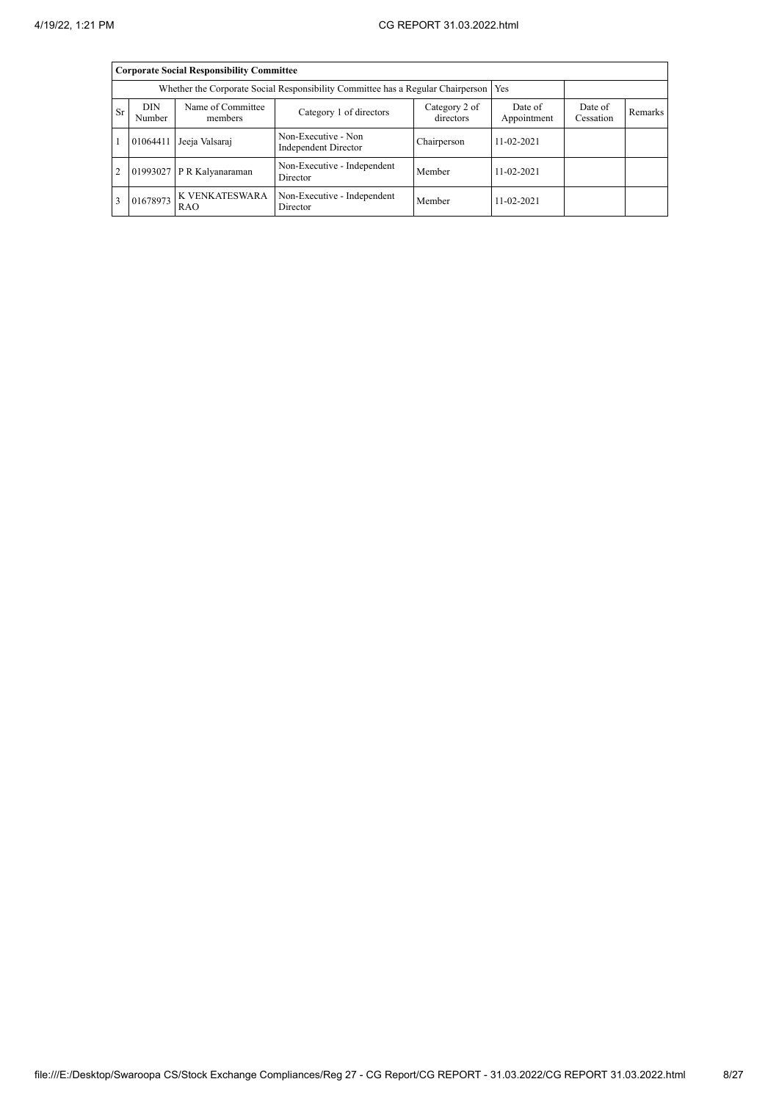|                                                                                        |                      | <b>Corporate Social Responsibility Committee</b> |                                             |             |                  |  |  |  |
|----------------------------------------------------------------------------------------|----------------------|--------------------------------------------------|---------------------------------------------|-------------|------------------|--|--|--|
| Whether the Corporate Social Responsibility Committee has a Regular Chairperson<br>Yes |                      |                                                  |                                             |             |                  |  |  |  |
| <b>Sr</b>                                                                              | <b>DIN</b><br>Number | Date of<br>Appointment                           | Date of<br>Cessation                        | Remarks     |                  |  |  |  |
|                                                                                        | 01064411             | Jeeja Valsaraj                                   | Non-Executive - Non<br>Independent Director | Chairperson | $11 - 02 - 2021$ |  |  |  |
| $\overline{2}$                                                                         |                      | 01993027 P R Kalyanaraman                        | Non-Executive - Independent<br>Director     | Member      | $11 - 02 - 2021$ |  |  |  |
| 3                                                                                      | 01678973             | <b>K VENKATESWARA</b><br><b>RAO</b>              | Non-Executive - Independent<br>Director     | Member      | $11 - 02 - 2021$ |  |  |  |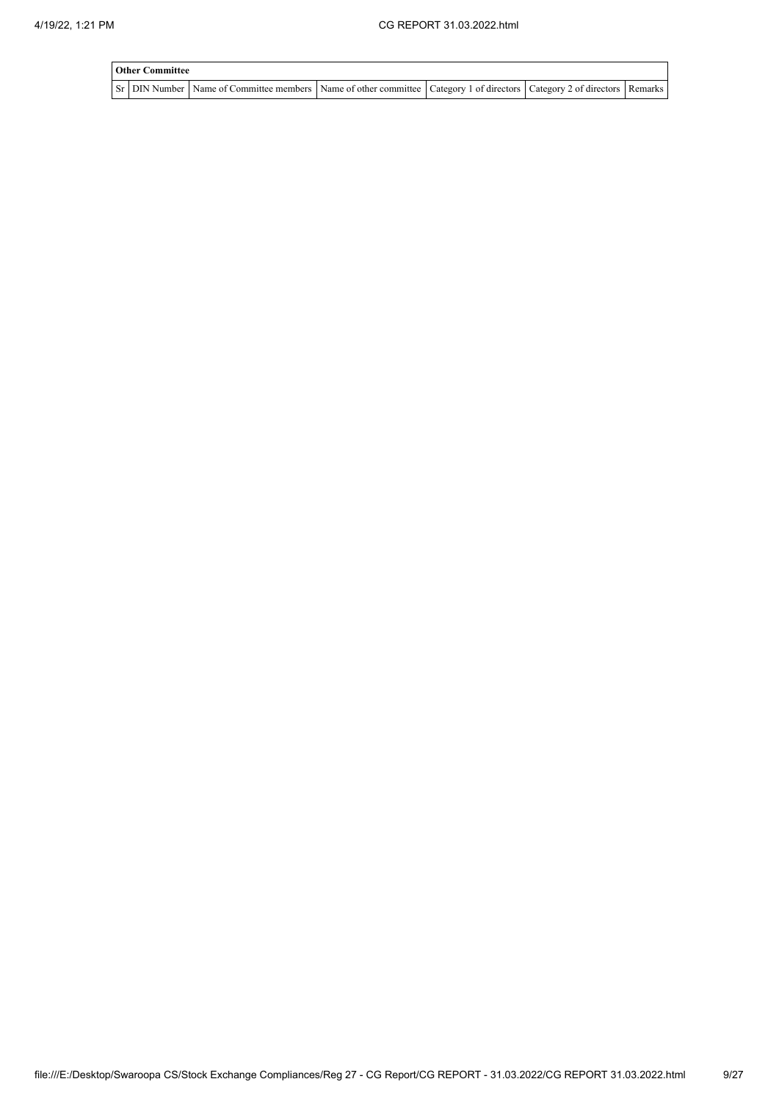| <b>Other Committee</b> |                                                                                                                                     |  |  |  |  |  |  |  |  |  |  |
|------------------------|-------------------------------------------------------------------------------------------------------------------------------------|--|--|--|--|--|--|--|--|--|--|
|                        | Sr   DIN Number   Name of Committee members   Name of other committee   Category 1 of directors   Category 2 of directors   Remarks |  |  |  |  |  |  |  |  |  |  |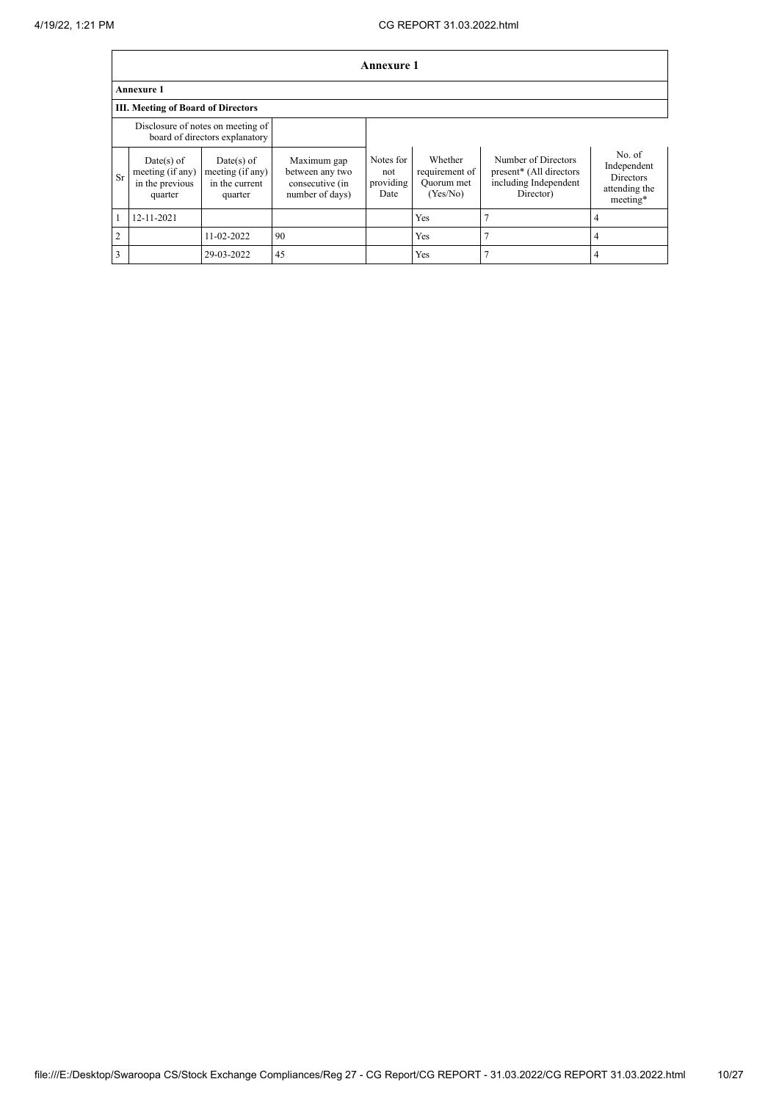|                | Annexure 1                                                          |                                                                  |                                                                      |                                       |                                                     |                                                                                      |                                                                        |  |  |  |  |
|----------------|---------------------------------------------------------------------|------------------------------------------------------------------|----------------------------------------------------------------------|---------------------------------------|-----------------------------------------------------|--------------------------------------------------------------------------------------|------------------------------------------------------------------------|--|--|--|--|
|                | <b>Annexure 1</b>                                                   |                                                                  |                                                                      |                                       |                                                     |                                                                                      |                                                                        |  |  |  |  |
|                | <b>III. Meeting of Board of Directors</b>                           |                                                                  |                                                                      |                                       |                                                     |                                                                                      |                                                                        |  |  |  |  |
|                | Disclosure of notes on meeting of<br>board of directors explanatory |                                                                  |                                                                      |                                       |                                                     |                                                                                      |                                                                        |  |  |  |  |
| <b>Sr</b>      | $Date(s)$ of<br>meeting (if any)<br>in the previous<br>quarter      | $Date(s)$ of<br>meeting $(i f any)$<br>in the current<br>quarter | Maximum gap<br>between any two<br>consecutive (in<br>number of days) | Notes for<br>not<br>providing<br>Date | Whether<br>requirement of<br>Quorum met<br>(Yes/No) | Number of Directors<br>present* (All directors<br>including Independent<br>Director) | No. of<br>Independent<br><b>Directors</b><br>attending the<br>meeting* |  |  |  |  |
|                | 12-11-2021                                                          |                                                                  |                                                                      |                                       | Yes                                                 |                                                                                      | 4                                                                      |  |  |  |  |
| $\overline{2}$ |                                                                     | 11-02-2022                                                       | 90                                                                   |                                       | Yes                                                 |                                                                                      | 4                                                                      |  |  |  |  |
| 3              |                                                                     | 29-03-2022                                                       | 45                                                                   |                                       | Yes                                                 |                                                                                      | 4                                                                      |  |  |  |  |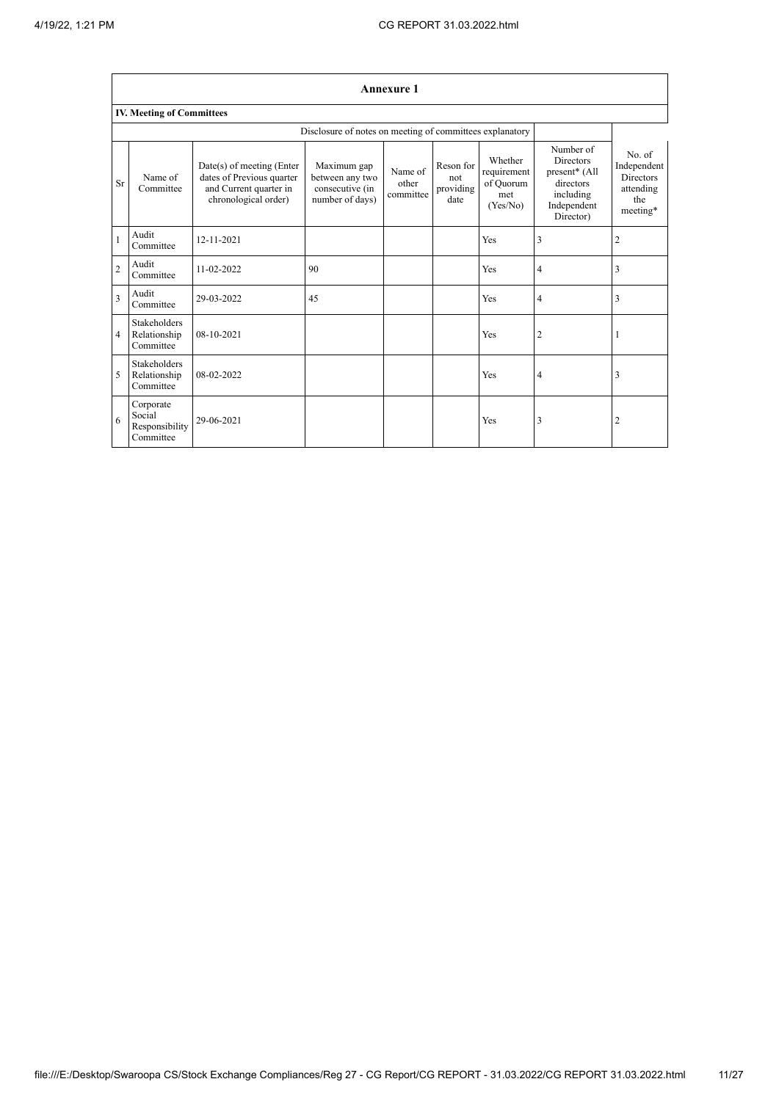$\Gamma$ 

┑

|                |                                                    |                                                                                                          |                                                                      | <b>Annexure 1</b>             |                                       |                                                        |                                                                                                      |                                                                           |
|----------------|----------------------------------------------------|----------------------------------------------------------------------------------------------------------|----------------------------------------------------------------------|-------------------------------|---------------------------------------|--------------------------------------------------------|------------------------------------------------------------------------------------------------------|---------------------------------------------------------------------------|
|                | <b>IV. Meeting of Committees</b>                   |                                                                                                          |                                                                      |                               |                                       |                                                        |                                                                                                      |                                                                           |
|                |                                                    |                                                                                                          | Disclosure of notes on meeting of committees explanatory             |                               |                                       |                                                        |                                                                                                      |                                                                           |
| Sr             | Name of<br>Committee                               | Date(s) of meeting (Enter<br>dates of Previous quarter<br>and Current quarter in<br>chronological order) | Maximum gap<br>between any two<br>consecutive (in<br>number of days) | Name of<br>other<br>committee | Reson for<br>not<br>providing<br>date | Whether<br>requirement<br>of Quorum<br>met<br>(Yes/No) | Number of<br><b>Directors</b><br>present* (All<br>directors<br>including<br>Independent<br>Director) | No. of<br>Independent<br><b>Directors</b><br>attending<br>the<br>meeting* |
| $\mathbf{1}$   | Audit<br>Committee                                 | 12-11-2021                                                                                               |                                                                      |                               |                                       | Yes                                                    | 3                                                                                                    | $\overline{c}$                                                            |
| $\overline{2}$ | Audit<br>Committee                                 | 11-02-2022                                                                                               | 90                                                                   |                               |                                       | Yes                                                    | 4                                                                                                    | 3                                                                         |
| 3              | Audit<br>Committee                                 | 29-03-2022                                                                                               | 45                                                                   |                               |                                       | Yes                                                    | $\overline{4}$                                                                                       | 3                                                                         |
| $\overline{4}$ | <b>Stakeholders</b><br>Relationship<br>Committee   | 08-10-2021                                                                                               |                                                                      |                               |                                       | Yes                                                    | $\overline{2}$                                                                                       |                                                                           |
| 5              | <b>Stakeholders</b><br>Relationship<br>Committee   | 08-02-2022                                                                                               |                                                                      |                               |                                       | Yes                                                    | $\overline{4}$                                                                                       | 3                                                                         |
| 6              | Corporate<br>Social<br>Responsibility<br>Committee | 29-06-2021                                                                                               |                                                                      |                               |                                       | Yes                                                    | 3                                                                                                    | $\overline{2}$                                                            |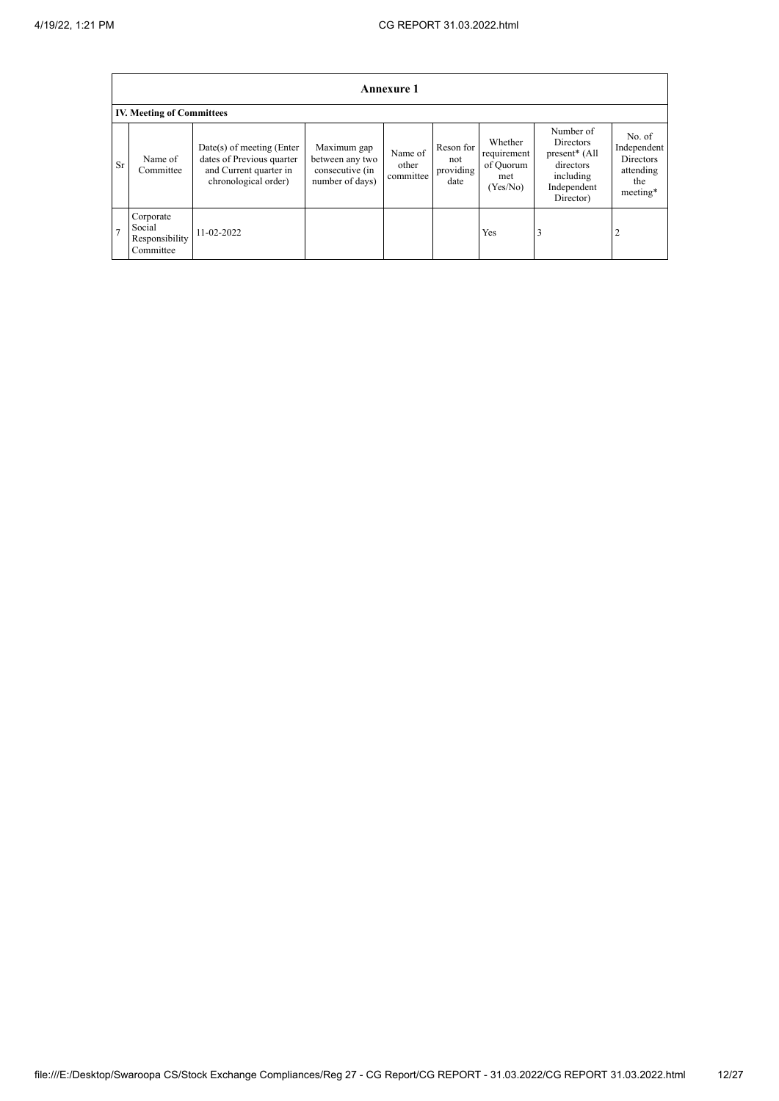|                | <b>Annexure 1</b>                                  |                                                                                                            |                                                                      |                               |                                       |                                                        |                                                                                                                  |                                                                           |  |  |  |  |
|----------------|----------------------------------------------------|------------------------------------------------------------------------------------------------------------|----------------------------------------------------------------------|-------------------------------|---------------------------------------|--------------------------------------------------------|------------------------------------------------------------------------------------------------------------------|---------------------------------------------------------------------------|--|--|--|--|
|                | <b>IV. Meeting of Committees</b>                   |                                                                                                            |                                                                      |                               |                                       |                                                        |                                                                                                                  |                                                                           |  |  |  |  |
| <b>Sr</b>      | Name of<br>Committee                               | $Date(s)$ of meeting (Enter<br>dates of Previous quarter<br>and Current quarter in<br>chronological order) | Maximum gap<br>between any two<br>consecutive (in<br>number of days) | Name of<br>other<br>committee | Reson for<br>not<br>providing<br>date | Whether<br>requirement<br>of Quorum<br>met<br>(Yes/No) | Number of<br><b>Directors</b><br>present <sup>*</sup> (All<br>directors<br>including<br>Independent<br>Director) | No. of<br>Independent<br><b>Directors</b><br>attending<br>the<br>meeting* |  |  |  |  |
| $\overline{ }$ | Corporate<br>Social<br>Responsibility<br>Committee | 11-02-2022                                                                                                 |                                                                      |                               |                                       | Yes                                                    | 3                                                                                                                | 2                                                                         |  |  |  |  |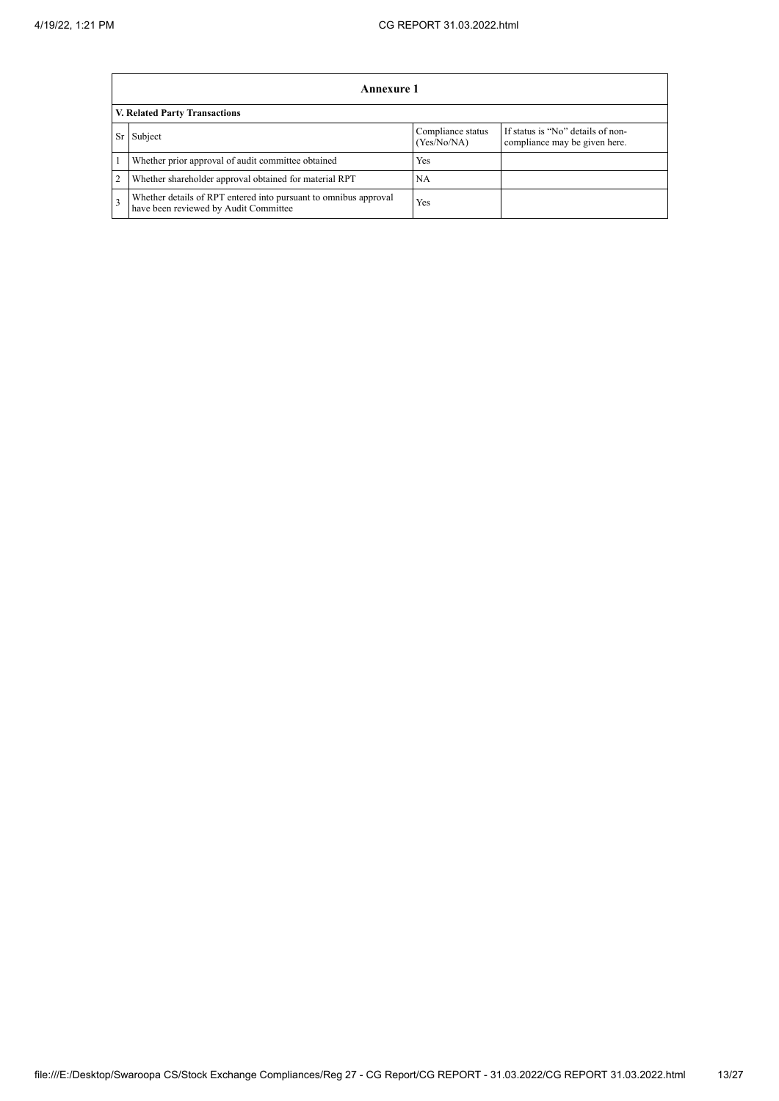|                | Annexure 1                                                                                                |                                  |                                                                    |  |  |  |  |
|----------------|-----------------------------------------------------------------------------------------------------------|----------------------------------|--------------------------------------------------------------------|--|--|--|--|
|                | <b>V. Related Party Transactions</b>                                                                      |                                  |                                                                    |  |  |  |  |
| Sr             | Subject                                                                                                   | Compliance status<br>(Yes/No/NA) | If status is "No" details of non-<br>compliance may be given here. |  |  |  |  |
|                | Whether prior approval of audit committee obtained                                                        | Yes                              |                                                                    |  |  |  |  |
| $\overline{2}$ | Whether shareholder approval obtained for material RPT                                                    | NA                               |                                                                    |  |  |  |  |
| $\overline{3}$ | Whether details of RPT entered into pursuant to omnibus approval<br>have been reviewed by Audit Committee | Yes                              |                                                                    |  |  |  |  |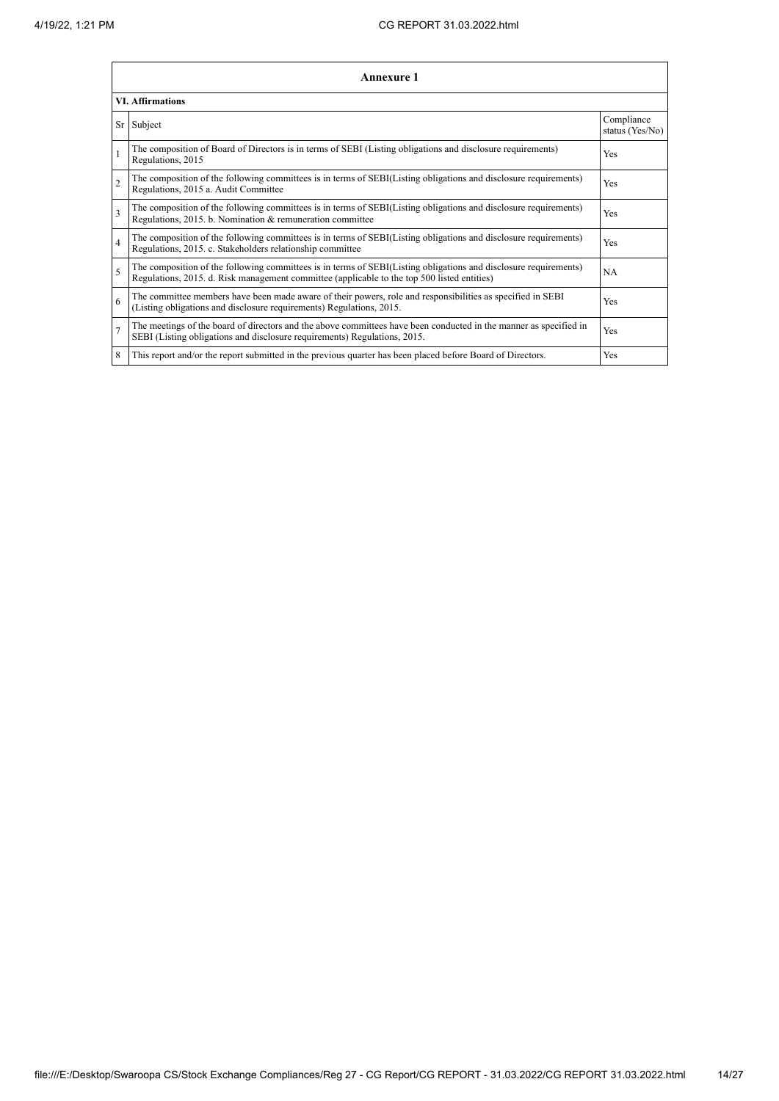|                          | <b>Annexure 1</b>                                                                                                                                                                                               |                               |
|--------------------------|-----------------------------------------------------------------------------------------------------------------------------------------------------------------------------------------------------------------|-------------------------------|
|                          | <b>VI. Affirmations</b>                                                                                                                                                                                         |                               |
|                          | Sr Subject                                                                                                                                                                                                      | Compliance<br>status (Yes/No) |
|                          | The composition of Board of Directors is in terms of SEBI (Listing obligations and disclosure requirements)<br>Regulations, 2015                                                                                | Yes                           |
| $\overline{c}$           | The composition of the following committees is in terms of SEBI(Listing obligations and disclosure requirements)<br>Regulations, 2015 a. Audit Committee                                                        | Yes                           |
| 3                        | The composition of the following committees is in terms of SEBI(Listing obligations and disclosure requirements)<br>Regulations, 2015. b. Nomination & remuneration committee                                   | Yes                           |
| $\overline{4}$           | The composition of the following committees is in terms of SEBI(Listing obligations and disclosure requirements)<br>Regulations, 2015. c. Stakeholders relationship committee                                   | Yes                           |
| $\overline{\phantom{0}}$ | The composition of the following committees is in terms of SEBI(Listing obligations and disclosure requirements)<br>Regulations, 2015. d. Risk management committee (applicable to the top 500 listed entities) | <b>NA</b>                     |
| 6                        | The committee members have been made aware of their powers, role and responsibilities as specified in SEBI<br>(Listing obligations and disclosure requirements) Regulations, 2015.                              | Yes                           |
| $\overline{7}$           | The meetings of the board of directors and the above committees have been conducted in the manner as specified in<br>SEBI (Listing obligations and disclosure requirements) Regulations, 2015.                  | Yes                           |
| 8                        | This report and/or the report submitted in the previous quarter has been placed before Board of Directors.                                                                                                      | <b>Yes</b>                    |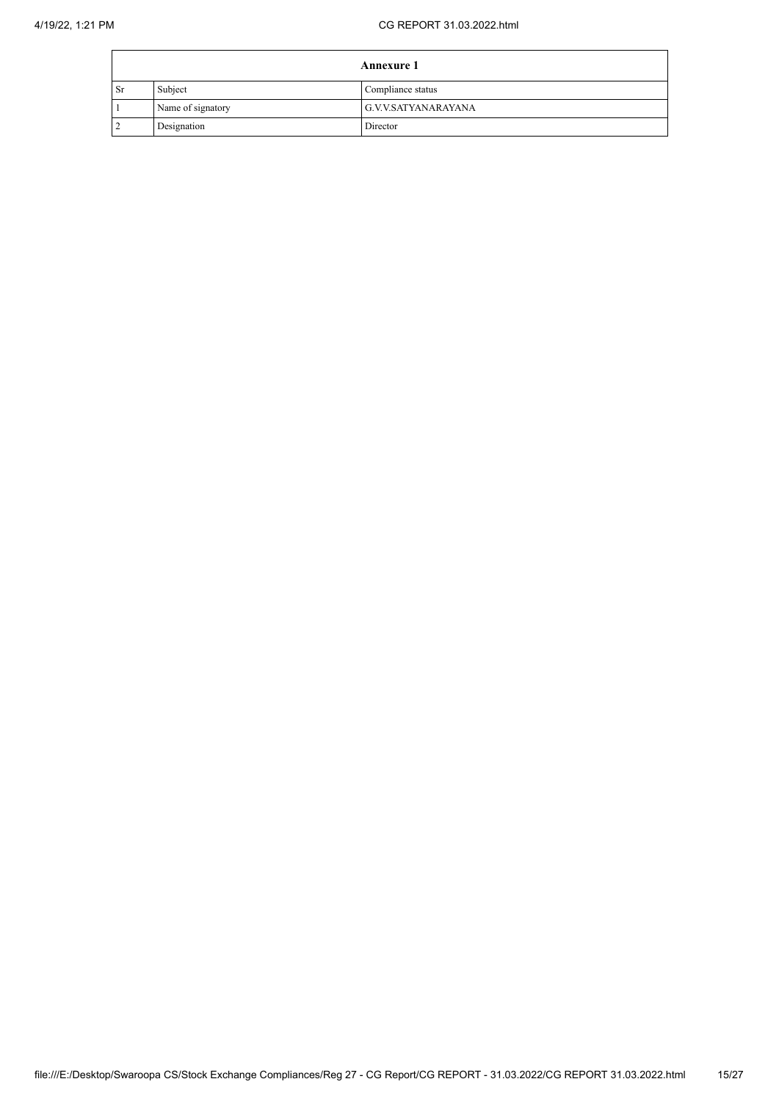|           |                   | <b>Annexure 1</b>   |
|-----------|-------------------|---------------------|
| <b>Sr</b> | Subject           | Compliance status   |
|           | Name of signatory | G.V.V.SATYANARAYANA |
|           | Designation       | Director            |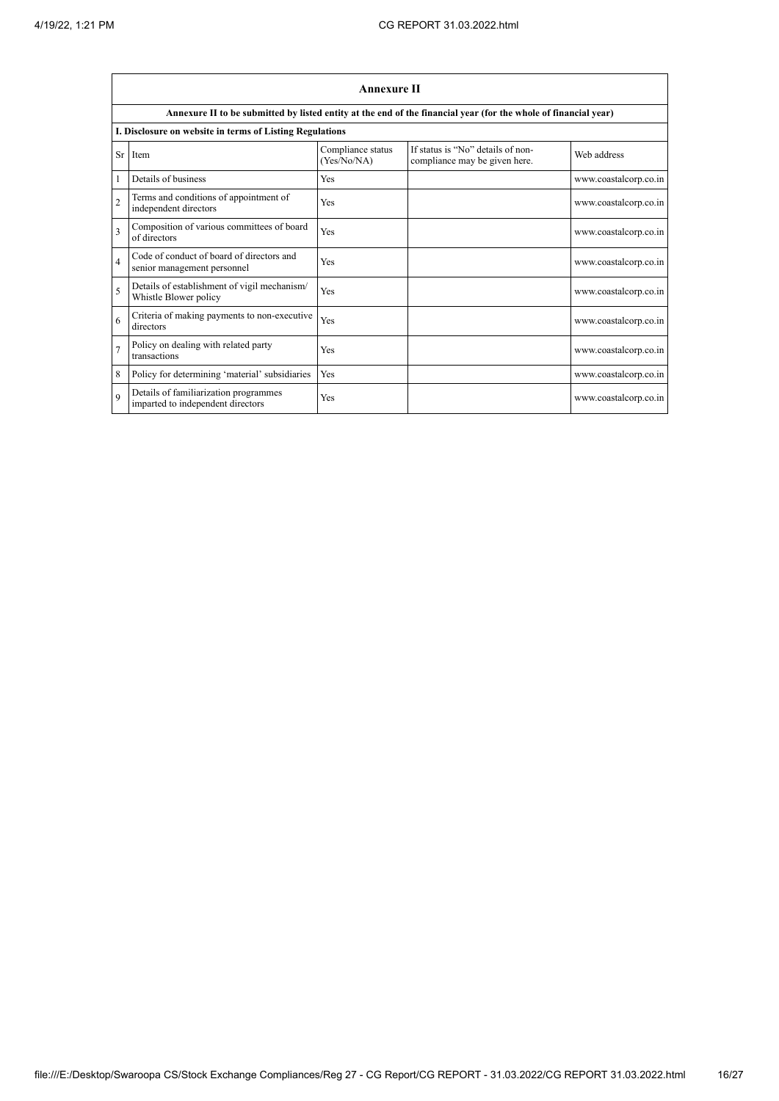$\blacksquare$ 

|                         | <b>Annexure II</b>                                                         |                                  |                                                                                                                 |                       |  |  |
|-------------------------|----------------------------------------------------------------------------|----------------------------------|-----------------------------------------------------------------------------------------------------------------|-----------------------|--|--|
|                         |                                                                            |                                  | Annexure II to be submitted by listed entity at the end of the financial year (for the whole of financial year) |                       |  |  |
|                         | I. Disclosure on website in terms of Listing Regulations                   |                                  |                                                                                                                 |                       |  |  |
| Sr                      | Item                                                                       | Compliance status<br>(Yes/No/NA) | If status is "No" details of non-<br>compliance may be given here.                                              | Web address           |  |  |
|                         | Details of business                                                        | Yes                              |                                                                                                                 | www.coastalcorp.co.in |  |  |
| $\mathfrak{D}$          | Terms and conditions of appointment of<br>independent directors            | Yes                              |                                                                                                                 | www.coastalcorp.co.in |  |  |
| $\overline{\mathbf{3}}$ | Composition of various committees of board<br>of directors                 | Yes                              |                                                                                                                 | www.coastalcorp.co.in |  |  |
| $\overline{4}$          | Code of conduct of board of directors and<br>senior management personnel   | Yes                              |                                                                                                                 | www.coastalcorp.co.in |  |  |
| 5                       | Details of establishment of vigil mechanism/<br>Whistle Blower policy      | Yes                              |                                                                                                                 | www.coastalcorp.co.in |  |  |
| 6                       | Criteria of making payments to non-executive<br>directors                  | Yes                              |                                                                                                                 | www.coastalcorp.co.in |  |  |
| $\overline{7}$          | Policy on dealing with related party<br>transactions                       | Yes                              |                                                                                                                 | www.coastalcorp.co.in |  |  |
| 8                       | Policy for determining 'material' subsidiaries                             | Yes                              |                                                                                                                 | www.coastalcorp.co.in |  |  |
| $\mathbf Q$             | Details of familiarization programmes<br>imparted to independent directors | Yes                              |                                                                                                                 | www.coastalcorp.co.in |  |  |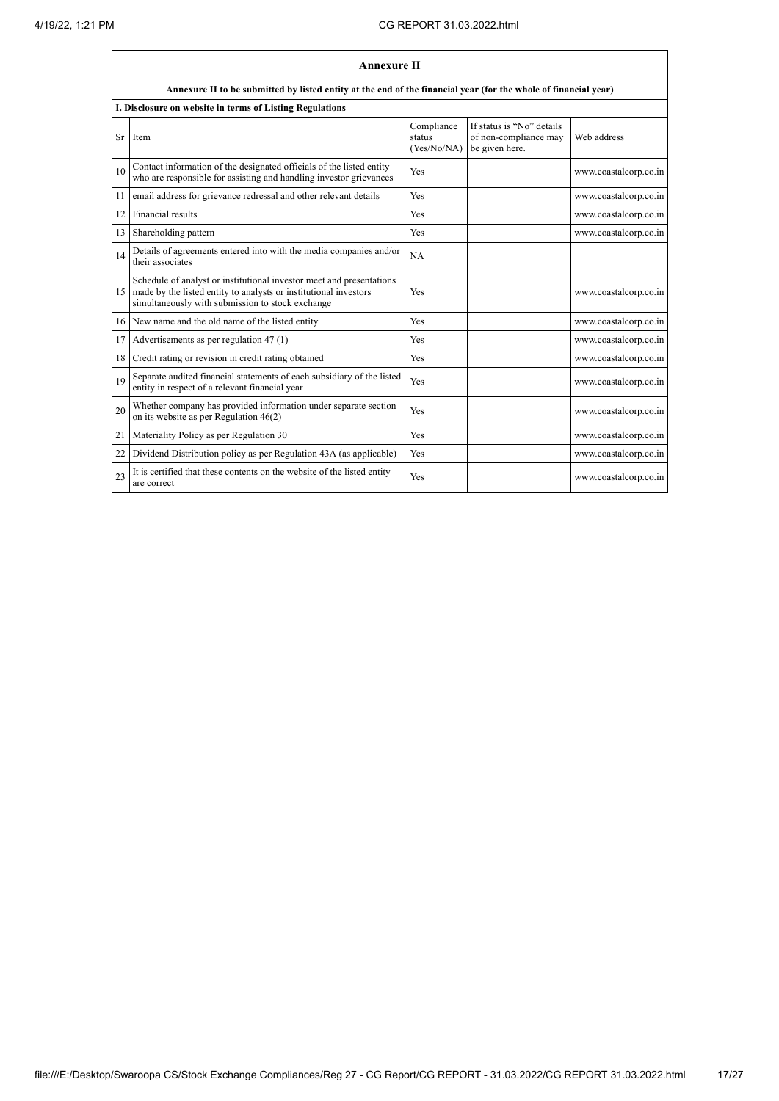|    | <b>Annexure II</b>                                                                                                                                                                           |                                     |                                                                      |                       |  |  |
|----|----------------------------------------------------------------------------------------------------------------------------------------------------------------------------------------------|-------------------------------------|----------------------------------------------------------------------|-----------------------|--|--|
|    | Annexure II to be submitted by listed entity at the end of the financial year (for the whole of financial year)                                                                              |                                     |                                                                      |                       |  |  |
|    | I. Disclosure on website in terms of Listing Regulations                                                                                                                                     |                                     |                                                                      |                       |  |  |
| Sr | Item                                                                                                                                                                                         | Compliance<br>status<br>(Yes/No/NA) | If status is "No" details<br>of non-compliance may<br>be given here. | Web address           |  |  |
| 10 | Contact information of the designated officials of the listed entity<br>who are responsible for assisting and handling investor grievances                                                   | Yes                                 |                                                                      | www.coastalcorp.co.in |  |  |
| 11 | email address for grievance redressal and other relevant details                                                                                                                             | Yes                                 |                                                                      | www.coastalcorp.co.in |  |  |
| 12 | Financial results                                                                                                                                                                            | Yes                                 |                                                                      | www.coastalcorp.co.in |  |  |
| 13 | Shareholding pattern                                                                                                                                                                         | Yes                                 |                                                                      | www.coastalcorp.co.in |  |  |
| 14 | Details of agreements entered into with the media companies and/or<br>their associates                                                                                                       | NA                                  |                                                                      |                       |  |  |
| 15 | Schedule of analyst or institutional investor meet and presentations<br>made by the listed entity to analysts or institutional investors<br>simultaneously with submission to stock exchange | Yes                                 |                                                                      | www.coastalcorp.co.in |  |  |
| 16 | New name and the old name of the listed entity                                                                                                                                               | Yes                                 |                                                                      | www.coastalcorp.co.in |  |  |
| 17 | Advertisements as per regulation 47 (1)                                                                                                                                                      | Yes                                 |                                                                      | www.coastalcorp.co.in |  |  |
| 18 | Credit rating or revision in credit rating obtained                                                                                                                                          | Yes                                 |                                                                      | www.coastalcorp.co.in |  |  |
| 19 | Separate audited financial statements of each subsidiary of the listed<br>entity in respect of a relevant financial year                                                                     | Yes                                 |                                                                      | www.coastalcorp.co.in |  |  |
| 20 | Whether company has provided information under separate section<br>on its website as per Regulation $46(2)$                                                                                  | Yes                                 |                                                                      | www.coastalcorp.co.in |  |  |
| 21 | Materiality Policy as per Regulation 30                                                                                                                                                      | Yes                                 |                                                                      | www.coastalcorp.co.in |  |  |
| 22 | Dividend Distribution policy as per Regulation 43A (as applicable)                                                                                                                           | Yes                                 |                                                                      | www.coastalcorp.co.in |  |  |
| 23 | It is certified that these contents on the website of the listed entity<br>are correct                                                                                                       | Yes                                 |                                                                      | www.coastalcorp.co.in |  |  |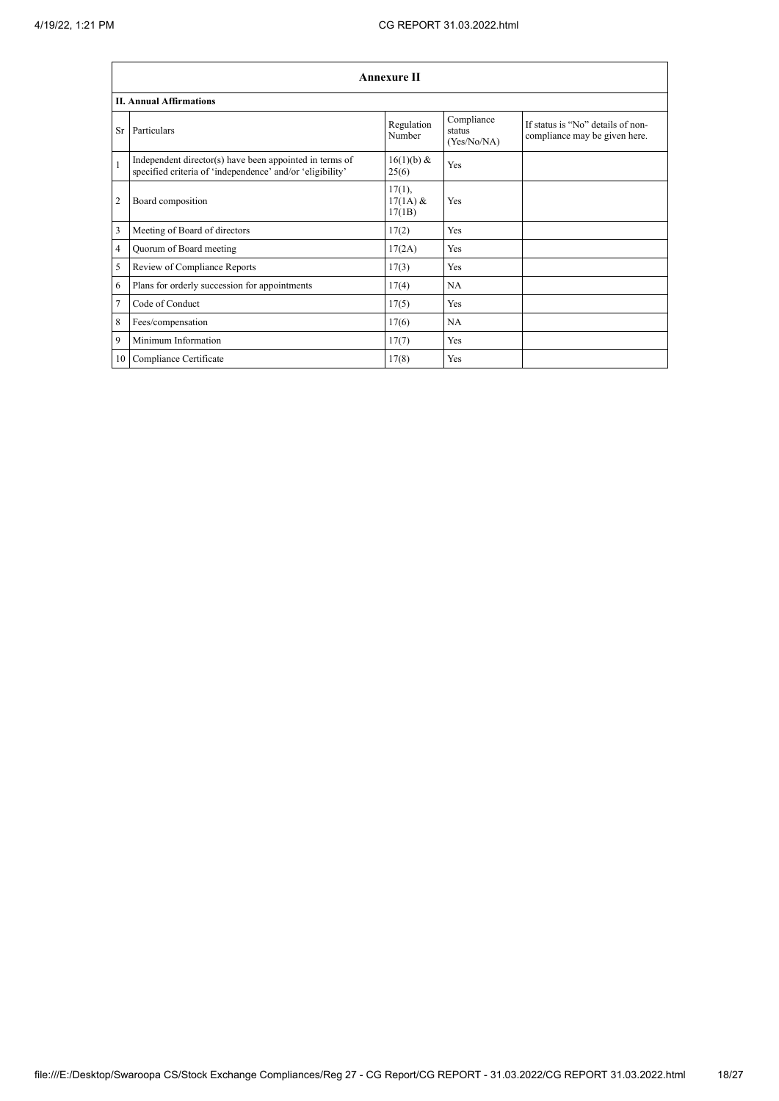|                | <b>Annexure II</b>                                                                                                   |                                   |                                     |                                                                    |  |
|----------------|----------------------------------------------------------------------------------------------------------------------|-----------------------------------|-------------------------------------|--------------------------------------------------------------------|--|
|                | <b>II. Annual Affirmations</b>                                                                                       |                                   |                                     |                                                                    |  |
| Sr             | Particulars                                                                                                          | Regulation<br>Number              | Compliance<br>status<br>(Yes/No/NA) | If status is "No" details of non-<br>compliance may be given here. |  |
| $\mathbf{1}$   | Independent director(s) have been appointed in terms of<br>specified criteria of 'independence' and/or 'eligibility' | 16(1)(b) &<br>25(6)               | Yes                                 |                                                                    |  |
| $\overline{2}$ | Board composition                                                                                                    | $17(1)$ ,<br>$17(1A)$ &<br>17(1B) | Yes                                 |                                                                    |  |
| 3              | Meeting of Board of directors                                                                                        | 17(2)                             | Yes                                 |                                                                    |  |
| $\overline{4}$ | Quorum of Board meeting                                                                                              | 17(2A)                            | Yes                                 |                                                                    |  |
| 5              | Review of Compliance Reports                                                                                         | 17(3)                             | Yes                                 |                                                                    |  |
| 6              | Plans for orderly succession for appointments                                                                        | 17(4)                             | <b>NA</b>                           |                                                                    |  |
| 7              | Code of Conduct                                                                                                      | 17(5)                             | Yes                                 |                                                                    |  |
| 8              | Fees/compensation                                                                                                    | 17(6)                             | NA                                  |                                                                    |  |
| 9              | Minimum Information                                                                                                  | 17(7)                             | Yes                                 |                                                                    |  |
| 10             | Compliance Certificate                                                                                               | 17(8)                             | Yes                                 |                                                                    |  |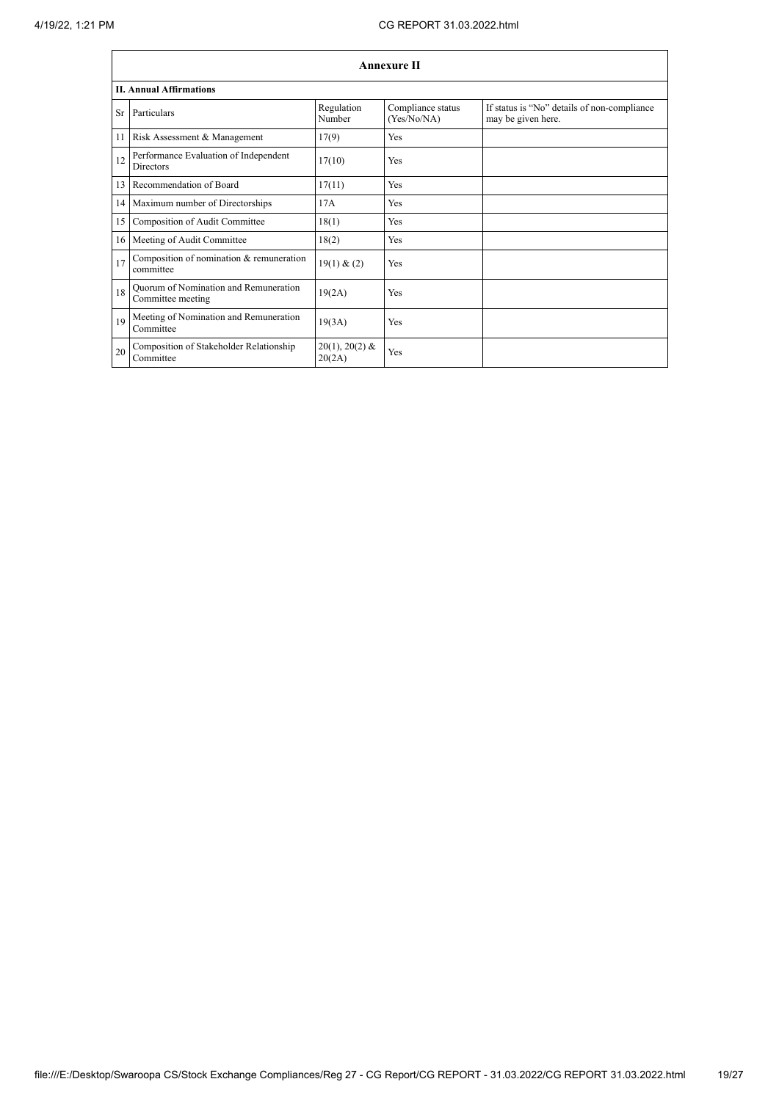|    | <b>Annexure II</b>                                         |                            |                                  |                                                                   |  |  |
|----|------------------------------------------------------------|----------------------------|----------------------------------|-------------------------------------------------------------------|--|--|
|    | <b>II. Annual Affirmations</b>                             |                            |                                  |                                                                   |  |  |
| Sr | Particulars                                                | Regulation<br>Number       | Compliance status<br>(Yes/No/NA) | If status is "No" details of non-compliance<br>may be given here. |  |  |
| 11 | Risk Assessment & Management                               | 17(9)                      | <b>Yes</b>                       |                                                                   |  |  |
| 12 | Performance Evaluation of Independent<br><b>Directors</b>  | 17(10)                     | <b>Yes</b>                       |                                                                   |  |  |
| 13 | Recommendation of Board                                    | 17(11)                     | Yes                              |                                                                   |  |  |
|    | 14 Maximum number of Directorships                         | 17A                        | Yes                              |                                                                   |  |  |
| 15 | Composition of Audit Committee                             | 18(1)                      | <b>Yes</b>                       |                                                                   |  |  |
|    | 16 Meeting of Audit Committee                              | 18(2)                      | Yes                              |                                                                   |  |  |
| 17 | Composition of nomination & remuneration<br>committee      | 19(1) & (2)                | Yes                              |                                                                   |  |  |
| 18 | Quorum of Nomination and Remuneration<br>Committee meeting | 19(2A)                     | Yes                              |                                                                   |  |  |
| 19 | Meeting of Nomination and Remuneration<br>Committee        | 19(3A)                     | Yes                              |                                                                   |  |  |
| 20 | Composition of Stakeholder Relationship<br>Committee       | $20(1), 20(2)$ &<br>20(2A) | Yes                              |                                                                   |  |  |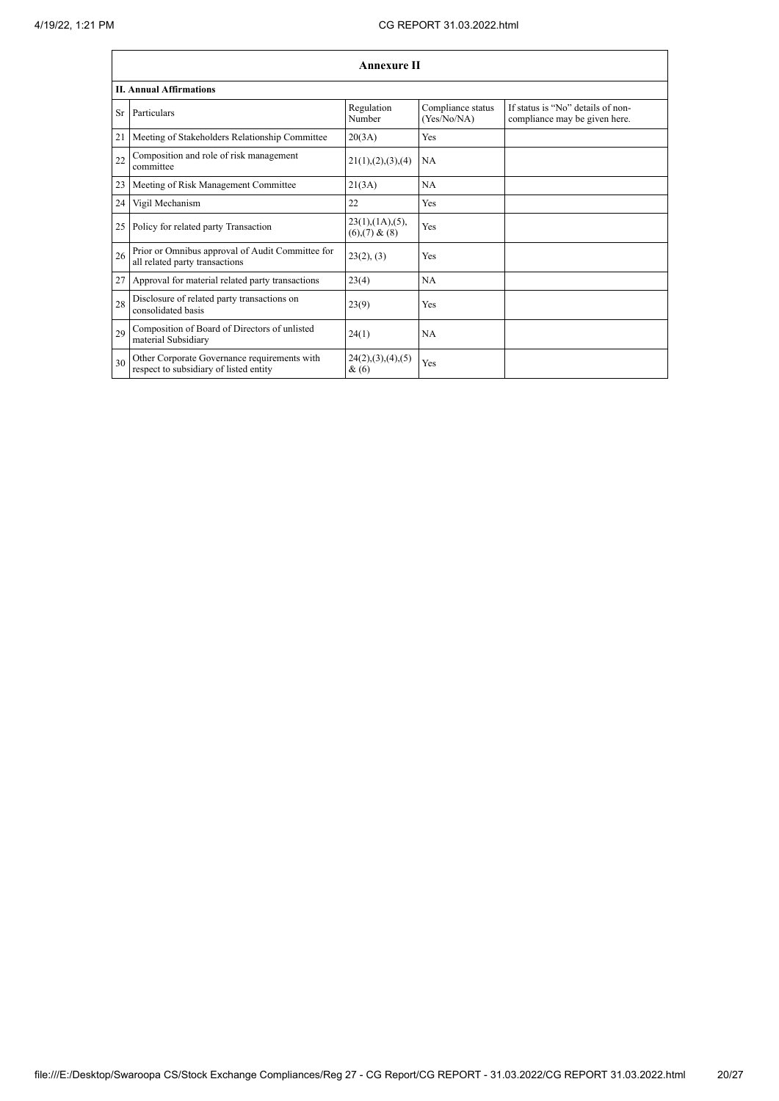|    | <b>Annexure II</b>                                                                     |                                                     |                                  |                                                                    |  |  |
|----|----------------------------------------------------------------------------------------|-----------------------------------------------------|----------------------------------|--------------------------------------------------------------------|--|--|
|    | <b>II. Annual Affirmations</b>                                                         |                                                     |                                  |                                                                    |  |  |
| Sr | Particulars                                                                            | Regulation<br>Number                                | Compliance status<br>(Yes/No/NA) | If status is "No" details of non-<br>compliance may be given here. |  |  |
| 21 | Meeting of Stakeholders Relationship Committee                                         | 20(3A)                                              | Yes                              |                                                                    |  |  |
| 22 | Composition and role of risk management<br>committee                                   | 21(1), (2), (3), (4)                                | NA                               |                                                                    |  |  |
| 23 | Meeting of Risk Management Committee                                                   | 21(3A)                                              | <b>NA</b>                        |                                                                    |  |  |
| 24 | Vigil Mechanism                                                                        | 22                                                  | Yes                              |                                                                    |  |  |
| 25 | Policy for related party Transaction                                                   | $23(1)$ , $(1A)$ , $(5)$ ,<br>$(6)$ , $(7)$ & $(8)$ | Yes                              |                                                                    |  |  |
| 26 | Prior or Omnibus approval of Audit Committee for<br>all related party transactions     | 23(2), (3)                                          | Yes                              |                                                                    |  |  |
| 27 | Approval for material related party transactions                                       | 23(4)                                               | <b>NA</b>                        |                                                                    |  |  |
| 28 | Disclosure of related party transactions on<br>consolidated basis                      | 23(9)                                               | Yes                              |                                                                    |  |  |
| 29 | Composition of Board of Directors of unlisted<br>material Subsidiary                   | 24(1)                                               | <b>NA</b>                        |                                                                    |  |  |
| 30 | Other Corporate Governance requirements with<br>respect to subsidiary of listed entity | 24(2), (3), (4), (5)<br>&(6)                        | Yes                              |                                                                    |  |  |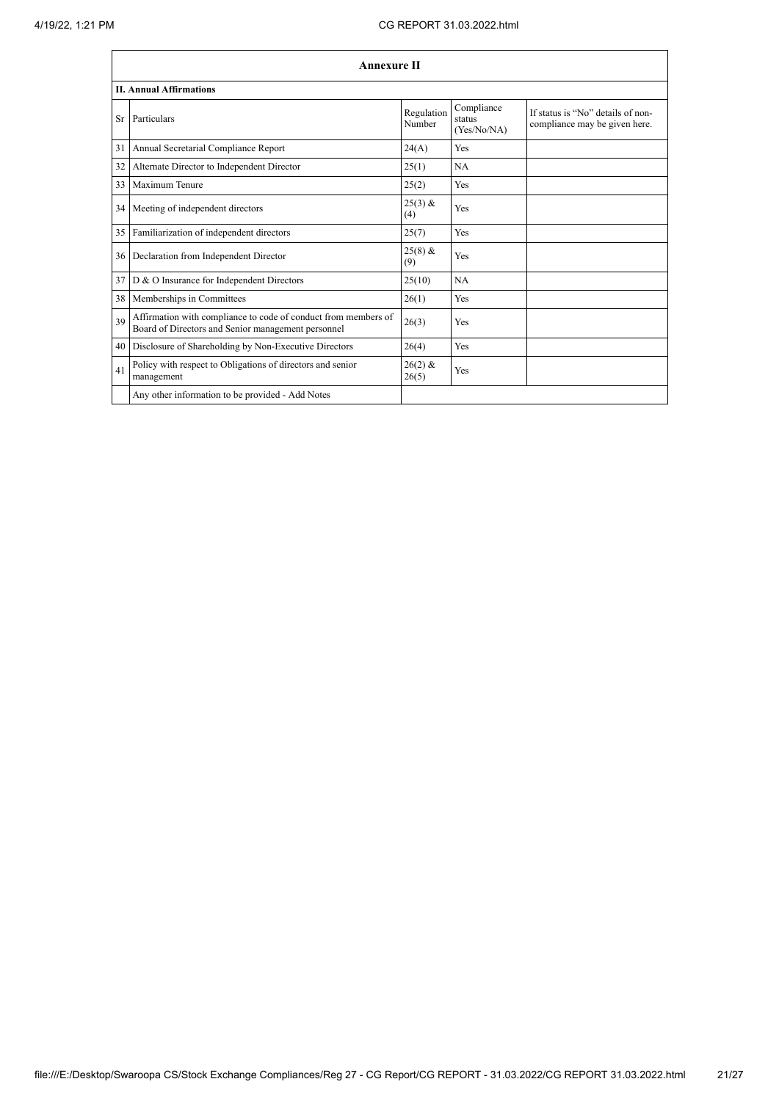|     | <b>Annexure II</b>                                                                                                   |                      |                                     |                                                                    |  |
|-----|----------------------------------------------------------------------------------------------------------------------|----------------------|-------------------------------------|--------------------------------------------------------------------|--|
|     | <b>II. Annual Affirmations</b>                                                                                       |                      |                                     |                                                                    |  |
| Sr. | Particulars                                                                                                          | Regulation<br>Number | Compliance<br>status<br>(Yes/No/NA) | If status is "No" details of non-<br>compliance may be given here. |  |
| 31  | Annual Secretarial Compliance Report                                                                                 | 24(A)                | <b>Yes</b>                          |                                                                    |  |
| 32  | Alternate Director to Independent Director                                                                           | 25(1)                | <b>NA</b>                           |                                                                    |  |
| 33  | Maximum Tenure                                                                                                       | 25(2)                | Yes                                 |                                                                    |  |
| 34  | Meeting of independent directors                                                                                     | $25(3)$ &<br>(4)     | Yes                                 |                                                                    |  |
| 35  | Familiarization of independent directors                                                                             | 25(7)                | Yes                                 |                                                                    |  |
| 36  | Declaration from Independent Director                                                                                | $25(8)$ &<br>(9)     | Yes                                 |                                                                    |  |
| 37  | D & O Insurance for Independent Directors                                                                            | 25(10)               | NA                                  |                                                                    |  |
| 38  | Memberships in Committees                                                                                            | 26(1)                | Yes                                 |                                                                    |  |
| 39  | Affirmation with compliance to code of conduct from members of<br>Board of Directors and Senior management personnel | 26(3)                | Yes                                 |                                                                    |  |
| 40  | Disclosure of Shareholding by Non-Executive Directors                                                                | 26(4)                | Yes                                 |                                                                    |  |
| 41  | Policy with respect to Obligations of directors and senior<br>management                                             | $26(2)$ &<br>26(5)   | Yes                                 |                                                                    |  |
|     | Any other information to be provided - Add Notes                                                                     |                      |                                     |                                                                    |  |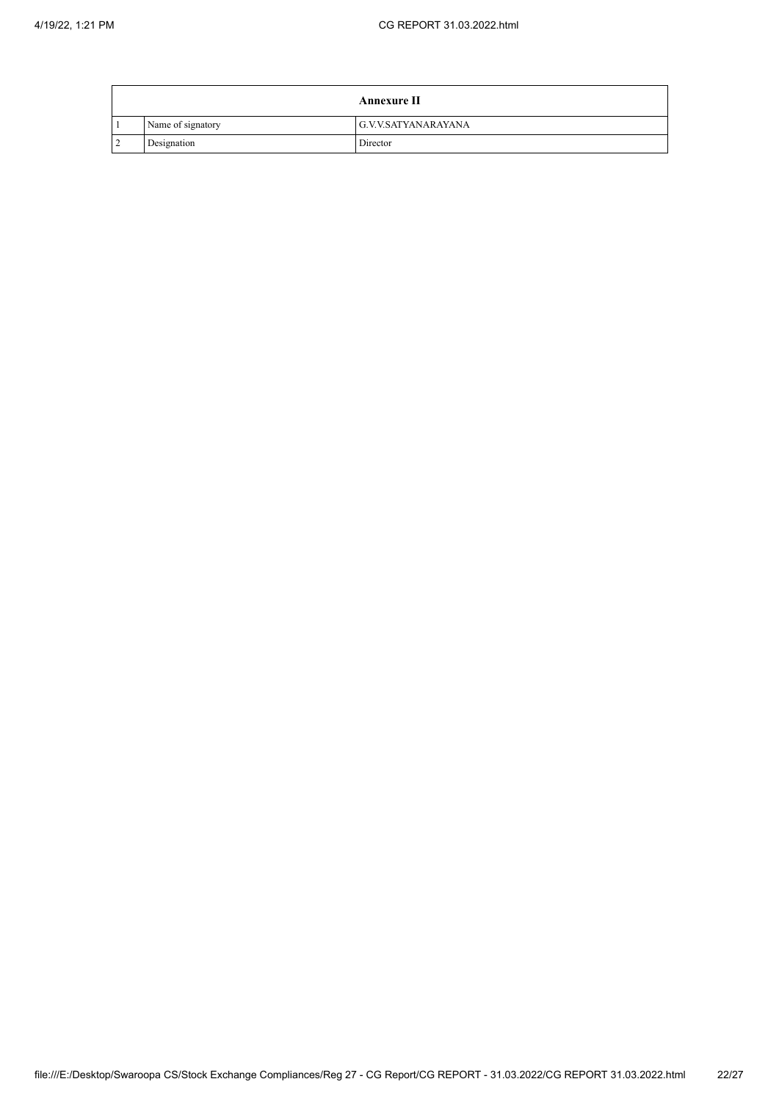|                   | <b>Annexure II</b>  |
|-------------------|---------------------|
| Name of signatory | G.V.V.SATYANARAYANA |
| Designation       | Director            |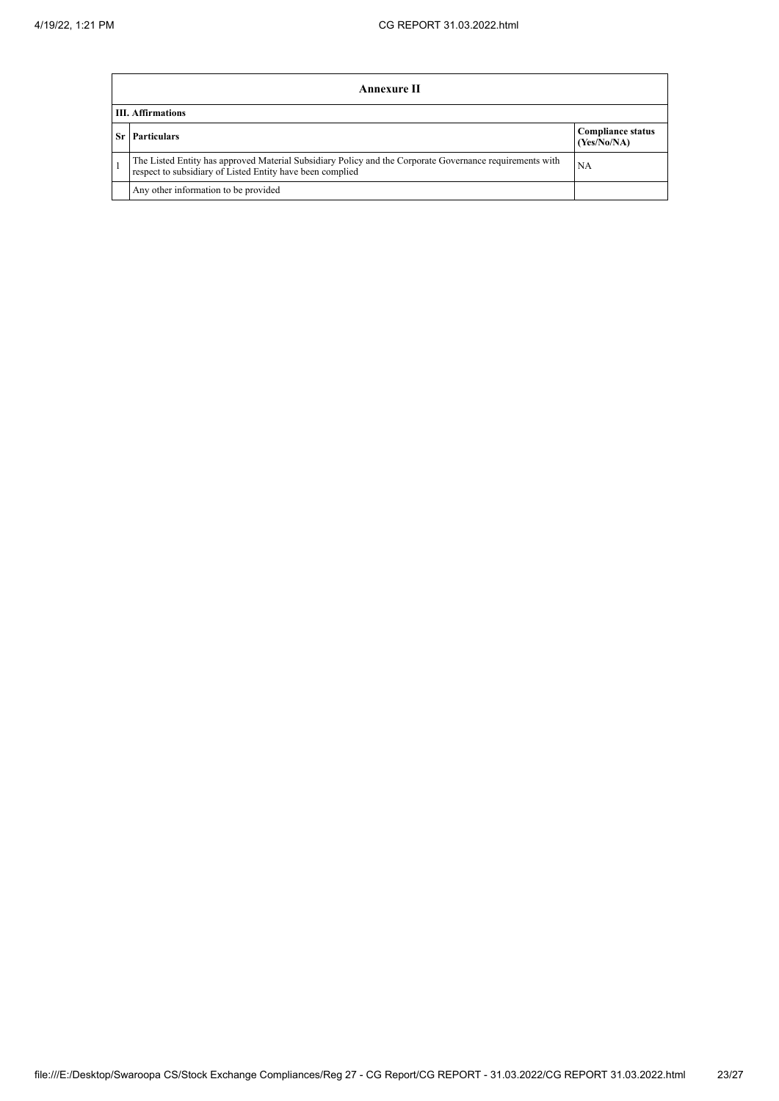| <b>Annexure II</b>                                                                                                                                                    |                                         |  |  |  |  |
|-----------------------------------------------------------------------------------------------------------------------------------------------------------------------|-----------------------------------------|--|--|--|--|
| <b>III.</b> Affirmations                                                                                                                                              |                                         |  |  |  |  |
| <b>Sr</b> Particulars                                                                                                                                                 | <b>Compliance status</b><br>(Yes/No/NA) |  |  |  |  |
| The Listed Entity has approved Material Subsidiary Policy and the Corporate Governance requirements with<br>respect to subsidiary of Listed Entity have been complied | NA                                      |  |  |  |  |
| Any other information to be provided                                                                                                                                  |                                         |  |  |  |  |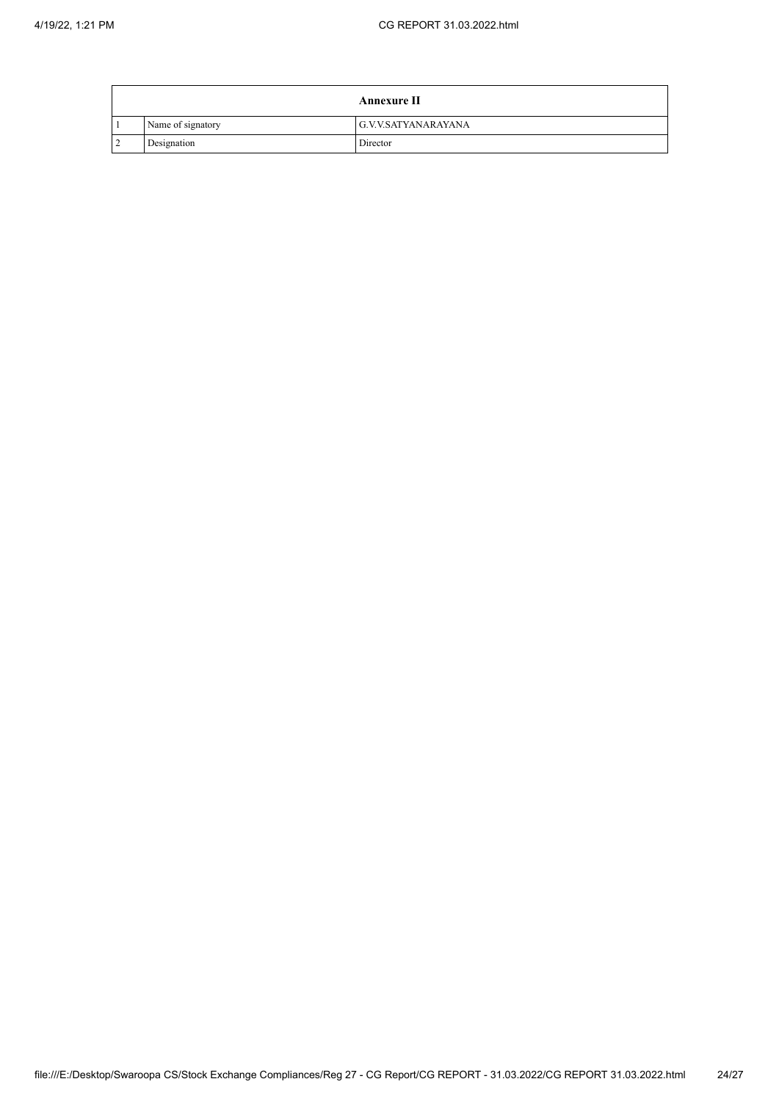|                   | <b>Annexure II</b>  |
|-------------------|---------------------|
| Name of signatory | G.V.V.SATYANARAYANA |
| Designation       | Director            |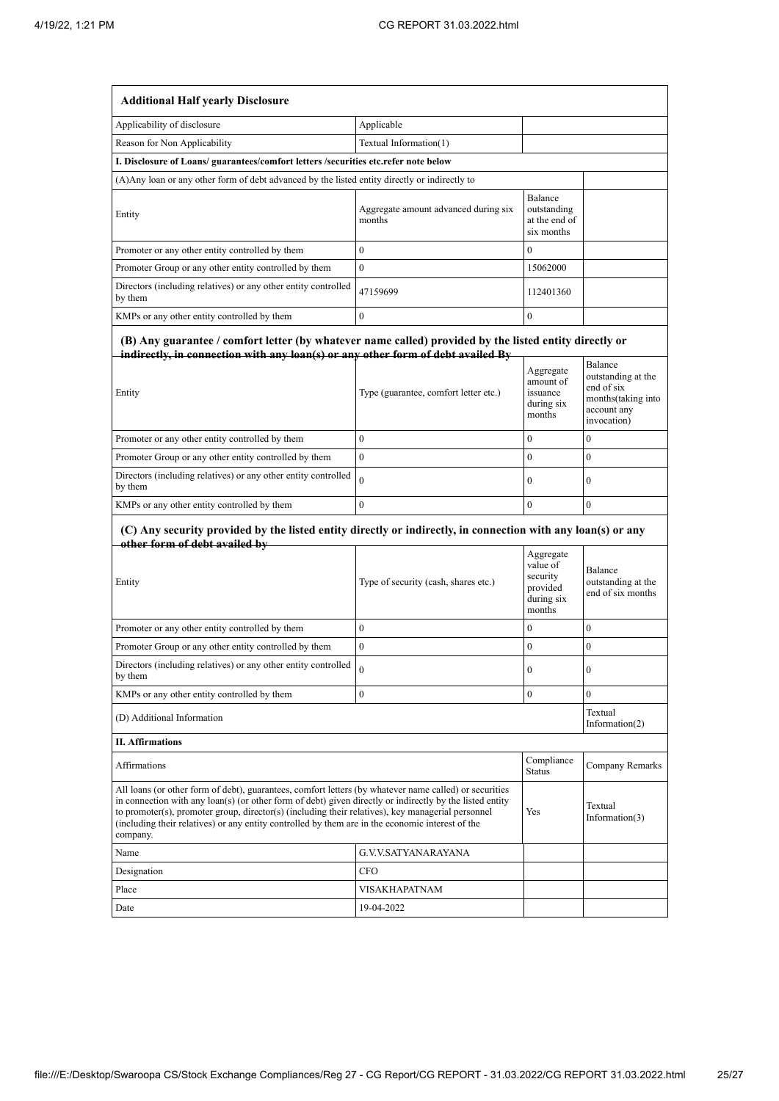| <b>Additional Half yearly Disclosure</b>                                                                                                                                                                                                                                                                                                                                                                                                |                                                |                                                                       |                                                                                                 |  |
|-----------------------------------------------------------------------------------------------------------------------------------------------------------------------------------------------------------------------------------------------------------------------------------------------------------------------------------------------------------------------------------------------------------------------------------------|------------------------------------------------|-----------------------------------------------------------------------|-------------------------------------------------------------------------------------------------|--|
| Applicability of disclosure                                                                                                                                                                                                                                                                                                                                                                                                             | Applicable                                     |                                                                       |                                                                                                 |  |
| Reason for Non Applicability                                                                                                                                                                                                                                                                                                                                                                                                            | Textual Information(1)                         |                                                                       |                                                                                                 |  |
| I. Disclosure of Loans/ guarantees/comfort letters /securities etc.refer note below                                                                                                                                                                                                                                                                                                                                                     |                                                |                                                                       |                                                                                                 |  |
| (A) Any loan or any other form of debt advanced by the listed entity directly or indirectly to                                                                                                                                                                                                                                                                                                                                          |                                                |                                                                       |                                                                                                 |  |
| Entity                                                                                                                                                                                                                                                                                                                                                                                                                                  | Aggregate amount advanced during six<br>months | Balance<br>outstanding<br>at the end of<br>six months                 |                                                                                                 |  |
| Promoter or any other entity controlled by them                                                                                                                                                                                                                                                                                                                                                                                         | $\bf{0}$                                       | $\mathbf{0}$                                                          |                                                                                                 |  |
| Promoter Group or any other entity controlled by them                                                                                                                                                                                                                                                                                                                                                                                   | $\mathbf{0}$                                   | 15062000                                                              |                                                                                                 |  |
| Directors (including relatives) or any other entity controlled<br>by them                                                                                                                                                                                                                                                                                                                                                               | 47159699                                       | 112401360                                                             |                                                                                                 |  |
| KMPs or any other entity controlled by them                                                                                                                                                                                                                                                                                                                                                                                             | $\mathbf{0}$                                   | $\boldsymbol{0}$                                                      |                                                                                                 |  |
| (B) Any guarantee / comfort letter (by whatever name called) provided by the listed entity directly or<br>indirectly, in connection with any loan(s) or any other form of debt availed By<br>Entity                                                                                                                                                                                                                                     | Type (guarantee, comfort letter etc.)          | Aggregate<br>amount of<br>issuance<br>during six<br>months            | Balance<br>outstanding at the<br>end of six<br>months(taking into<br>account any<br>invocation) |  |
| Promoter or any other entity controlled by them                                                                                                                                                                                                                                                                                                                                                                                         | $\mathbf{0}$                                   | $\theta$                                                              | $\mathbf{0}$                                                                                    |  |
| Promoter Group or any other entity controlled by them                                                                                                                                                                                                                                                                                                                                                                                   | $\mathbf{0}$                                   | $\mathbf{0}$                                                          | $\mathbf{0}$                                                                                    |  |
| Directors (including relatives) or any other entity controlled<br>by them                                                                                                                                                                                                                                                                                                                                                               | $\theta$                                       | $\mathbf{0}$                                                          | $\mathbf{0}$                                                                                    |  |
| KMPs or any other entity controlled by them                                                                                                                                                                                                                                                                                                                                                                                             | $\mathbf{0}$                                   | $\mathbf{0}$                                                          | $\overline{0}$                                                                                  |  |
| (C) Any security provided by the listed entity directly or indirectly, in connection with any loan(s) or any<br>other form of debt availed by<br>Entity                                                                                                                                                                                                                                                                                 | Type of security (cash, shares etc.)           | Aggregate<br>value of<br>security<br>provided<br>during six<br>months | Balance<br>outstanding at the<br>end of six months                                              |  |
| Promoter or any other entity controlled by them                                                                                                                                                                                                                                                                                                                                                                                         | $\mathbf{0}$                                   | $\mathbf{0}$                                                          | $\mathbf{0}$                                                                                    |  |
| Promoter Group or any other entity controlled by them                                                                                                                                                                                                                                                                                                                                                                                   | $\mathbf{0}$                                   | $\bf{0}$                                                              | $\mathbf{0}$                                                                                    |  |
| Directors (including relatives) or any other entity controlled<br>by them                                                                                                                                                                                                                                                                                                                                                               | 0                                              | $\bf{0}$                                                              | $\theta$                                                                                        |  |
| KMPs or any other entity controlled by them                                                                                                                                                                                                                                                                                                                                                                                             | $\bf{0}$                                       | $\boldsymbol{0}$                                                      | $\overline{0}$                                                                                  |  |
| (D) Additional Information                                                                                                                                                                                                                                                                                                                                                                                                              |                                                |                                                                       | Textual<br>Information $(2)$                                                                    |  |
| <b>II. Affirmations</b>                                                                                                                                                                                                                                                                                                                                                                                                                 |                                                |                                                                       |                                                                                                 |  |
| Affirmations                                                                                                                                                                                                                                                                                                                                                                                                                            |                                                | Compliance<br>Status                                                  | Company Remarks                                                                                 |  |
| All loans (or other form of debt), guarantees, comfort letters (by whatever name called) or securities<br>in connection with any loan(s) (or other form of debt) given directly or indirectly by the listed entity<br>to promoter(s), promoter group, director(s) (including their relatives), key managerial personnel<br>(including their relatives) or any entity controlled by them are in the economic interest of the<br>company. |                                                | Yes                                                                   | Textual<br>Information $(3)$                                                                    |  |
| Name                                                                                                                                                                                                                                                                                                                                                                                                                                    | G.V.V.SATYANARAYANA                            |                                                                       |                                                                                                 |  |
| Designation                                                                                                                                                                                                                                                                                                                                                                                                                             | CFO                                            |                                                                       |                                                                                                 |  |
| Place                                                                                                                                                                                                                                                                                                                                                                                                                                   | VISAKHAPATNAM                                  |                                                                       |                                                                                                 |  |
|                                                                                                                                                                                                                                                                                                                                                                                                                                         |                                                |                                                                       |                                                                                                 |  |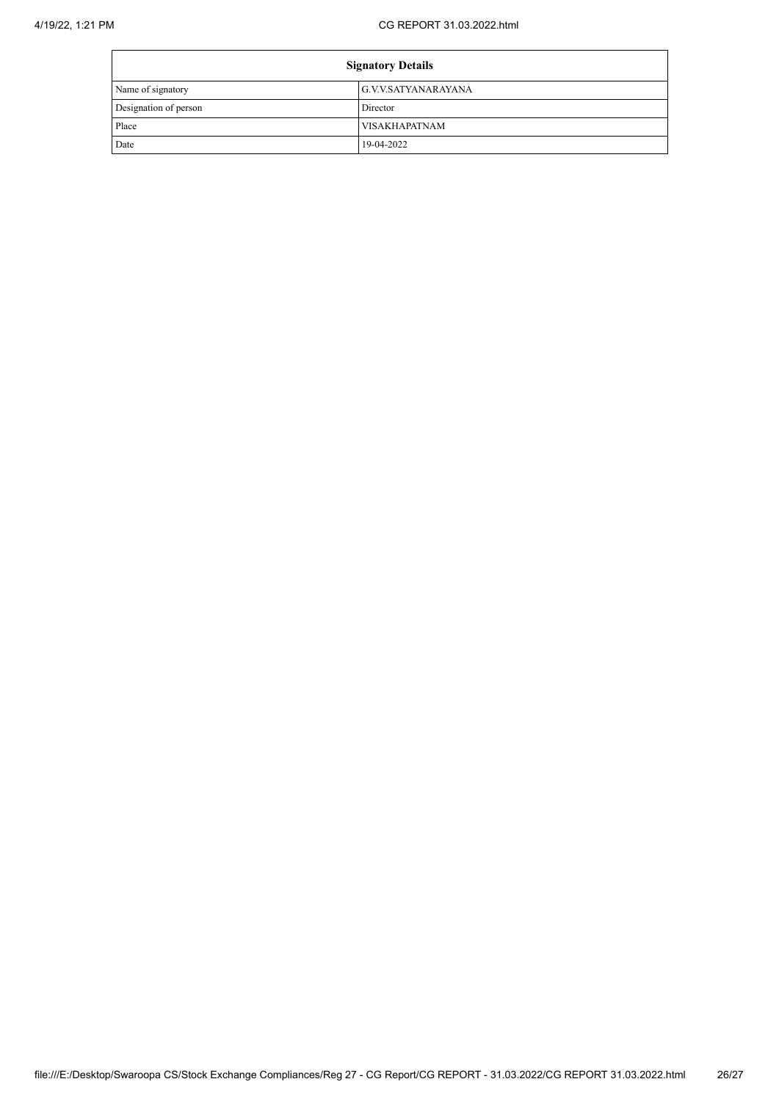| <b>Signatory Details</b> |                      |  |
|--------------------------|----------------------|--|
| Name of signatory        | G.V.V.SATYANARAYANA  |  |
| Designation of person    | Director             |  |
| Place                    | <b>VISAKHAPATNAM</b> |  |
| Date                     | 19-04-2022           |  |